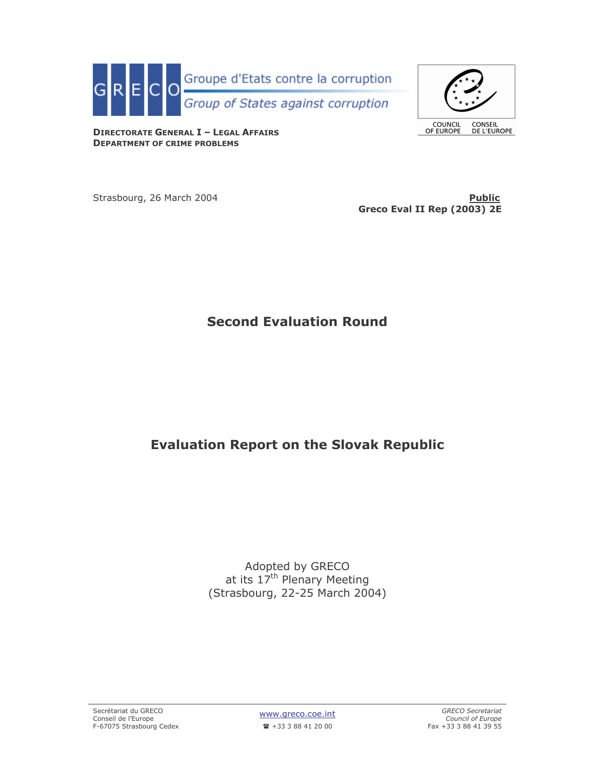



**COUNCIL**<br>OF EUROPE CONSEIL<br>DE L'EUROPE

**DIRECTORATE GENERAL I - LEGAL AFFAIRS DEPARTMENT OF CRIME PROBLEMS** 

Strasbourg, 26 March 2004

**Public** Greco Eval II Rep (2003) 2E

# **Second Evaluation Round**

# **Evaluation Report on the Slovak Republic**

Adopted by GRECO at its  $17<sup>th</sup>$  Plenary Meeting (Strasbourg, 22-25 March 2004)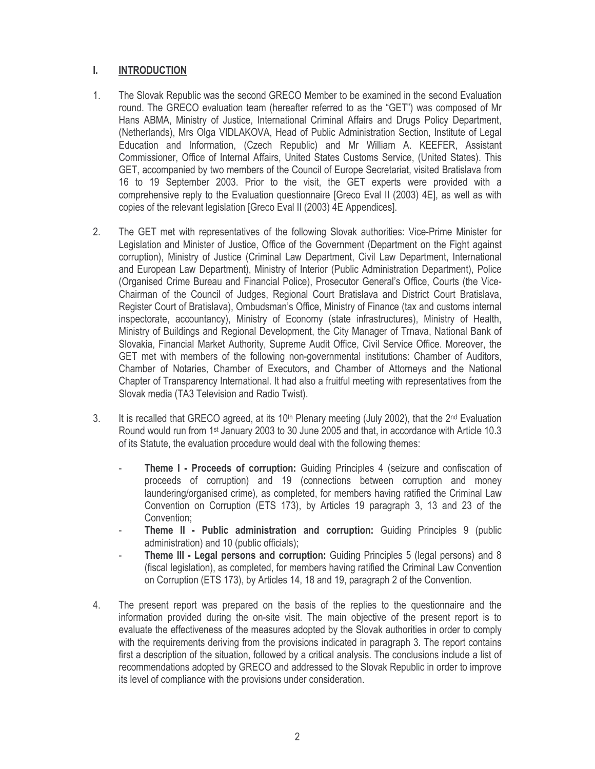#### L. **INTRODUCTION**

- $1<sub>1</sub>$ The Slovak Republic was the second GRECO Member to be examined in the second Evaluation round. The GRECO evaluation team (hereafter referred to as the "GET") was composed of Mr Hans ABMA, Ministry of Justice, International Criminal Affairs and Drugs Policy Department, (Netherlands), Mrs Olga VIDLAKOVA, Head of Public Administration Section, Institute of Legal Education and Information, (Czech Republic) and Mr William A. KEEFER, Assistant Commissioner, Office of Internal Affairs, United States Customs Service, (United States). This GET, accompanied by two members of the Council of Europe Secretariat, visited Bratislava from 16 to 19 September 2003. Prior to the visit, the GET experts were provided with a comprehensive reply to the Evaluation questionnaire [Greco Eval II (2003) 4E], as well as with copies of the relevant legislation [Greco Eval II (2003) 4E Appendices].
- $2.$ The GET met with representatives of the following Slovak authorities: Vice-Prime Minister for Legislation and Minister of Justice, Office of the Government (Department on the Fight against corruption), Ministry of Justice (Criminal Law Department, Civil Law Department, International and European Law Department), Ministry of Interior (Public Administration Department), Police (Organised Crime Bureau and Financial Police), Prosecutor General's Office, Courts (the Vice-Chairman of the Council of Judges, Regional Court Bratislava and District Court Bratislava, Register Court of Bratislava), Ombudsman's Office, Ministry of Finance (tax and customs internal inspectorate, accountancy), Ministry of Economy (state infrastructures), Ministry of Health, Ministry of Buildings and Regional Development, the City Manager of Trnava, National Bank of Slovakia, Financial Market Authority, Supreme Audit Office, Civil Service Office. Moreover, the GET met with members of the following non-governmental institutions: Chamber of Auditors, Chamber of Notaries, Chamber of Executors, and Chamber of Attorneys and the National Chapter of Transparency International. It had also a fruitful meeting with representatives from the Slovak media (TA3 Television and Radio Twist).
- 3. It is recalled that GRECO agreed, at its 10<sup>th</sup> Plenary meeting (July 2002), that the  $2^{nd}$  Evaluation Round would run from 1<sup>st</sup> January 2003 to 30 June 2005 and that, in accordance with Article 10.3 of its Statute, the evaluation procedure would deal with the following themes:
	- Theme I Proceeds of corruption: Guiding Principles 4 (seizure and confiscation of proceeds of corruption) and 19 (connections between corruption and money laundering/organised crime), as completed, for members having ratified the Criminal Law Convention on Corruption (ETS 173), by Articles 19 paragraph 3, 13 and 23 of the Convention:
	- Theme II Public administration and corruption: Guiding Principles 9 (public administration) and 10 (public officials);
	- Theme III Legal persons and corruption: Guiding Principles 5 (legal persons) and 8 (fiscal legislation), as completed, for members having ratified the Criminal Law Convention on Corruption (ETS 173), by Articles 14, 18 and 19, paragraph 2 of the Convention.
- 4. The present report was prepared on the basis of the replies to the questionnaire and the information provided during the on-site visit. The main objective of the present report is to evaluate the effectiveness of the measures adopted by the Slovak authorities in order to comply with the requirements deriving from the provisions indicated in paragraph 3. The report contains first a description of the situation, followed by a critical analysis. The conclusions include a list of recommendations adopted by GRECO and addressed to the Slovak Republic in order to improve its level of compliance with the provisions under consideration.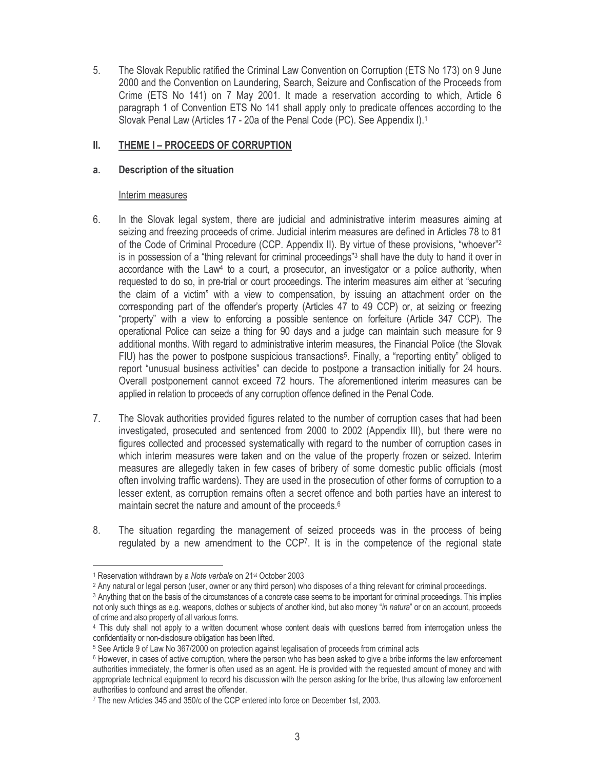5. The Slovak Republic ratified the Criminal Law Convention on Corruption (ETS No 173) on 9 June 2000 and the Convention on Laundering, Search, Seizure and Confiscation of the Proceeds from Crime (ETS No 141) on 7 May 2001. It made a reservation according to which, Article 6 paragraph 1 of Convention ETS No 141 shall apply only to predicate offences according to the Slovak Penal Law (Articles 17 - 20a of the Penal Code (PC). See Appendix I).<sup>1</sup>

#### II. THEME I - PROCEEDS OF CORRUPTION

#### a. Description of the situation

# Interim measures

- 6. In the Slovak legal system, there are judicial and administrative interim measures aiming at seizing and freezing proceeds of crime. Judicial interim measures are defined in Articles 78 to 81 of the Code of Criminal Procedure (CCP. Appendix II). By virtue of these provisions, "whoever"<sup>2</sup> is in possession of a "thing relevant for criminal proceedings"<sup>3</sup> shall have the duty to hand it over in accordance with the Law<sup>4</sup> to a court, a prosecutor, an investigator or a police authority, when requested to do so, in pre-trial or court proceedings. The interim measures aim either at "securing the claim of a victim" with a view to compensation, by issuing an attachment order on the corresponding part of the offender's property (Articles 47 to 49 CCP) or, at seizing or freezing "property" with a view to enforcing a possible sentence on forfeiture (Article 347 CCP). The operational Police can seize a thing for 90 days and a judge can maintain such measure for 9 additional months. With regard to administrative interim measures, the Financial Police (the Slovak FIU) has the power to postpone suspicious transactions<sup>5</sup>. Finally, a "reporting entity" obliged to report "unusual business activities" can decide to postpone a transaction initially for 24 hours. Overall postponement cannot exceed 72 hours. The aforementioned interim measures can be applied in relation to proceeds of any corruption offence defined in the Penal Code.
- $7.$ The Slovak authorities provided figures related to the number of corruption cases that had been investigated, prosecuted and sentenced from 2000 to 2002 (Appendix III), but there were no figures collected and processed systematically with regard to the number of corruption cases in which interim measures were taken and on the value of the property frozen or seized. Interim measures are allegedly taken in few cases of bribery of some domestic public officials (most often involving traffic wardens). They are used in the prosecution of other forms of corruption to a lesser extent, as corruption remains often a secret offence and both parties have an interest to maintain secret the nature and amount of the proceeds.<sup>6</sup>
- 8. The situation regarding the management of seized proceeds was in the process of being regulated by a new amendment to the CCP7. It is in the competence of the regional state

<sup>&</sup>lt;sup>1</sup> Reservation withdrawn by a Note verbale on 21<sup>st</sup> October 2003

<sup>&</sup>lt;sup>2</sup> Any natural or legal person (user, owner or any third person) who disposes of a thing relevant for criminal proceedings.

<sup>&</sup>lt;sup>3</sup> Anything that on the basis of the circumstances of a concrete case seems to be important for criminal proceedings. This implies not only such things as e.g. weapons, clothes or subjects of another kind, but also money "in natura" or on an account, proceeds of crime and also property of all various forms.

<sup>4</sup> This duty shall not apply to a written document whose content deals with questions barred from interrogation unless the confidentiality or non-disclosure obligation has been lifted.

<sup>&</sup>lt;sup>5</sup> See Article 9 of Law No 367/2000 on protection against legalisation of proceeds from criminal acts

<sup>&</sup>lt;sup>6</sup> However, in cases of active corruption, where the person who has been asked to give a bribe informs the law enforcement authorities immediately, the former is often used as an agent. He is provided with the requested amount of money and with appropriate technical equipment to record his discussion with the person asking for the bribe, thus allowing law enforcement authorities to confound and arrest the offender.

<sup>7</sup> The new Articles 345 and 350/c of the CCP entered into force on December 1st, 2003.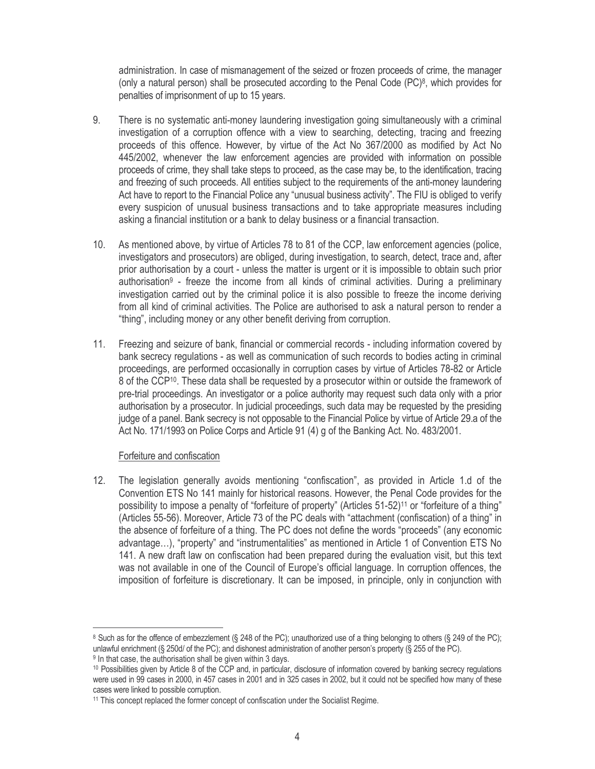administration. In case of mismanagement of the seized or frozen proceeds of crime, the manager (only a natural person) shall be prosecuted according to the Penal Code  $(PC)^8$ , which provides for penalties of imprisonment of up to 15 years.

- 9. There is no systematic anti-money laundering investigation going simultaneously with a criminal investigation of a corruption offence with a view to searching, detecting, tracing and freezing proceeds of this offence. However, by virtue of the Act No 367/2000 as modified by Act No 445/2002, whenever the law enforcement agencies are provided with information on possible proceeds of crime, they shall take steps to proceed, as the case may be, to the identification, tracing and freezing of such proceeds. All entities subject to the requirements of the anti-money laundering Act have to report to the Financial Police any "unusual business activity". The FIU is obliged to verify every suspicion of unusual business transactions and to take appropriate measures including asking a financial institution or a bank to delay business or a financial transaction.
- $10.$ As mentioned above, by virtue of Articles 78 to 81 of the CCP, law enforcement agencies (police, investigators and prosecutors) are obliged, during investigation, to search, detect, trace and, after prior authorisation by a court - unless the matter is urgent or it is impossible to obtain such prior authorisation<sup>9</sup> - freeze the income from all kinds of criminal activities. During a preliminary investigation carried out by the criminal police it is also possible to freeze the income deriving from all kind of criminal activities. The Police are authorised to ask a natural person to render a "thing", including money or any other benefit deriving from corruption.
- 11. Freezing and seizure of bank, financial or commercial records including information covered by bank secrecy regulations - as well as communication of such records to bodies acting in criminal proceedings, are performed occasionally in corruption cases by virtue of Articles 78-82 or Article 8 of the CCP<sup>10</sup>. These data shall be requested by a prosecutor within or outside the framework of pre-trial proceedings. An investigator or a police authority may request such data only with a prior authorisation by a prosecutor. In judicial proceedings, such data may be requested by the presiding judge of a panel. Bank secrecy is not opposable to the Financial Police by virtue of Article 29.a of the Act No. 171/1993 on Police Corps and Article 91 (4) g of the Banking Act. No. 483/2001.

# Forfeiture and confiscation

The legislation generally avoids mentioning "confiscation", as provided in Article 1.d of the  $12.$ Convention ETS No 141 mainly for historical reasons. However, the Penal Code provides for the possibility to impose a penalty of "forfeiture of property" (Articles 51-52)<sup>11</sup> or "forfeiture of a thing" (Articles 55-56). Moreover, Article 73 of the PC deals with "attachment (confiscation) of a thing" in the absence of forfeiture of a thing. The PC does not define the words "proceeds" (any economic advantage...), "property" and "instrumentalities" as mentioned in Article 1 of Convention ETS No 141. A new draft law on confiscation had been prepared during the evaluation visit, but this text was not available in one of the Council of Europe's official language. In corruption offences, the imposition of forfeiture is discretionary. It can be imposed, in principle, only in conjunction with

<sup>&</sup>lt;sup>8</sup> Such as for the offence of embezzlement (§ 248 of the PC); unauthorized use of a thing belonging to others (§ 249 of the PC); unlawful enrichment (§ 250d/ of the PC); and dishonest administration of another person's property (§ 255 of the PC). <sup>9</sup> In that case, the authorisation shall be given within 3 days.

<sup>&</sup>lt;sup>10</sup> Possibilities given by Article 8 of the CCP and, in particular, disclosure of information covered by banking secrecy requlations were used in 99 cases in 2000, in 457 cases in 2001 and in 325 cases in 2002, but it could not be specified how many of these cases were linked to possible corruption.

<sup>&</sup>lt;sup>11</sup> This concept replaced the former concept of confiscation under the Socialist Regime.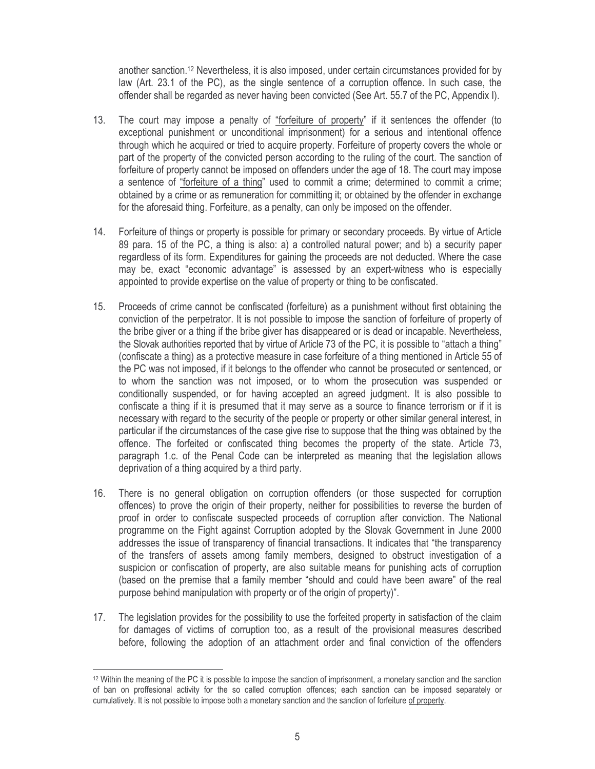another sanction.<sup>12</sup> Nevertheless, it is also imposed, under certain circumstances provided for by law (Art. 23.1 of the PC), as the single sentence of a corruption offence. In such case, the offender shall be regarded as never having been convicted (See Art. 55.7 of the PC, Appendix I).

- $13.$ The court may impose a penalty of "forfeiture of property" if it sentences the offender (to exceptional punishment or unconditional imprisonment) for a serious and intentional offence through which he acquired or tried to acquire property. Forfeiture of property covers the whole or part of the property of the convicted person according to the ruling of the court. The sanction of forfeiture of property cannot be imposed on offenders under the age of 18. The court may impose a sentence of "forfeiture of a thing" used to commit a crime; determined to commit a crime; obtained by a crime or as remuneration for committing it; or obtained by the offender in exchange for the aforesaid thing. Forfeiture, as a penalty, can only be imposed on the offender.
- 14. Forfeiture of things or property is possible for primary or secondary proceeds. By virtue of Article 89 para. 15 of the PC, a thing is also: a) a controlled natural power; and b) a security paper regardless of its form. Expenditures for gaining the proceeds are not deducted. Where the case may be, exact "economic advantage" is assessed by an expert-witness who is especially appointed to provide expertise on the value of property or thing to be confiscated.
- Proceeds of crime cannot be confiscated (forfeiture) as a punishment without first obtaining the  $15.$ conviction of the perpetrator. It is not possible to impose the sanction of forfeiture of property of the bribe giver or a thing if the bribe giver has disappeared or is dead or incapable. Nevertheless, the Slovak authorities reported that by virtue of Article 73 of the PC, it is possible to "attach a thing" (confiscate a thing) as a protective measure in case forfeiture of a thing mentioned in Article 55 of the PC was not imposed, if it belongs to the offender who cannot be prosecuted or sentenced, or to whom the sanction was not imposed, or to whom the prosecution was suspended or conditionally suspended, or for having accepted an agreed judgment. It is also possible to confiscate a thing if it is presumed that it may serve as a source to finance terrorism or if it is necessary with regard to the security of the people or property or other similar general interest, in particular if the circumstances of the case give rise to suppose that the thing was obtained by the offence. The forfeited or confiscated thing becomes the property of the state. Article 73, paragraph 1.c. of the Penal Code can be interpreted as meaning that the legislation allows deprivation of a thing acquired by a third party.
- There is no general obligation on corruption offenders (or those suspected for corruption  $16.$ offences) to prove the origin of their property, neither for possibilities to reverse the burden of proof in order to confiscate suspected proceeds of corruption after conviction. The National programme on the Fight against Corruption adopted by the Slovak Government in June 2000 addresses the issue of transparency of financial transactions. It indicates that "the transparency of the transfers of assets among family members, designed to obstruct investigation of a suspicion or confiscation of property, are also suitable means for punishing acts of corruption (based on the premise that a family member "should and could have been aware" of the real purpose behind manipulation with property or of the origin of property)".
- $17.$ The legislation provides for the possibility to use the forfeited property in satisfaction of the claim for damages of victims of corruption too, as a result of the provisional measures described before, following the adoption of an attachment order and final conviction of the offenders

<sup>&</sup>lt;sup>12</sup> Within the meaning of the PC it is possible to impose the sanction of imprisonment, a monetary sanction and the sanction of ban on proffesional activity for the so called corruption offences; each sanction can be imposed separately or cumulatively. It is not possible to impose both a monetary sanction and the sanction of forfeiture of property.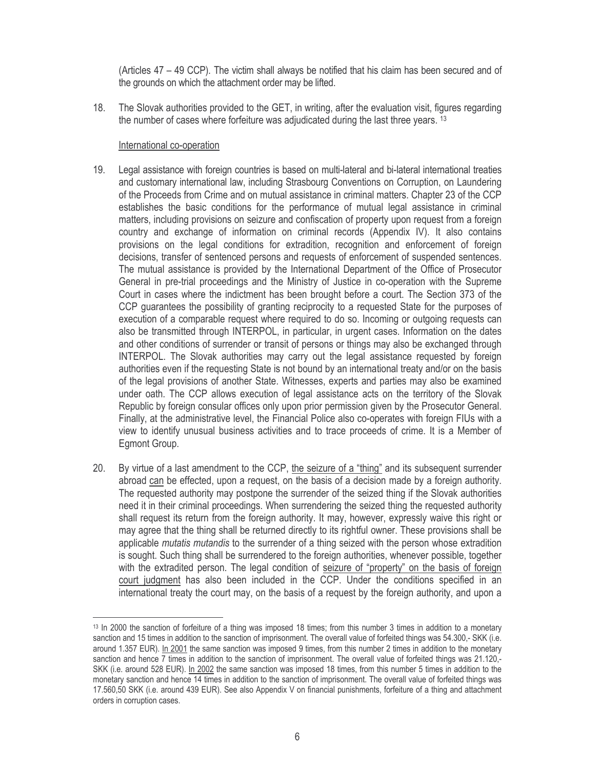(Articles 47 – 49 CCP). The victim shall always be notified that his claim has been secured and of the grounds on which the attachment order may be lifted.

The Slovak authorities provided to the GET, in writing, after the evaluation visit, figures regarding 18. the number of cases where forfeiture was adjudicated during the last three years. 13

# International co-operation

- $19$ Legal assistance with foreign countries is based on multi-lateral and bi-lateral international treaties and customary international law, including Strasbourg Conventions on Corruption, on Laundering of the Proceeds from Crime and on mutual assistance in criminal matters. Chapter 23 of the CCP establishes the basic conditions for the performance of mutual legal assistance in criminal matters, including provisions on seizure and confiscation of property upon request from a foreign country and exchange of information on criminal records (Appendix IV). It also contains provisions on the legal conditions for extradition, recognition and enforcement of foreign decisions, transfer of sentenced persons and requests of enforcement of suspended sentences. The mutual assistance is provided by the International Department of the Office of Prosecutor General in pre-trial proceedings and the Ministry of Justice in co-operation with the Supreme Court in cases where the indictment has been brought before a court. The Section 373 of the CCP quarantees the possibility of granting reciprocity to a requested State for the purposes of execution of a comparable request where required to do so. Incoming or outgoing requests can also be transmitted through INTERPOL, in particular, in urgent cases. Information on the dates and other conditions of surrender or transit of persons or things may also be exchanged through INTERPOL. The Slovak authorities may carry out the legal assistance requested by foreign authorities even if the requesting State is not bound by an international treaty and/or on the basis of the legal provisions of another State. Witnesses, experts and parties may also be examined under oath. The CCP allows execution of legal assistance acts on the territory of the Slovak Republic by foreign consular offices only upon prior permission given by the Prosecutor General. Finally, at the administrative level, the Financial Police also co-operates with foreign FIUs with a view to identify unusual business activities and to trace proceeds of crime. It is a Member of Egmont Group.
- By virtue of a last amendment to the CCP, the seizure of a "thing" and its subsequent surrender 20. abroad can be effected, upon a request, on the basis of a decision made by a foreign authority. The requested authority may postpone the surrender of the seized thing if the Slovak authorities need it in their criminal proceedings. When surrendering the seized thing the requested authority shall request its return from the foreign authority. It may, however, expressly waive this right or may agree that the thing shall be returned directly to its rightful owner. These provisions shall be applicable mutatis mutandis to the surrender of a thing seized with the person whose extradition is sought. Such thing shall be surrendered to the foreign authorities, whenever possible, together with the extradited person. The legal condition of seizure of "property" on the basis of foreign court judgment has also been included in the CCP. Under the conditions specified in an international treaty the court may, on the basis of a request by the foreign authority, and upon a

<sup>&</sup>lt;sup>13</sup> In 2000 the sanction of forfeiture of a thing was imposed 18 times; from this number 3 times in addition to a monetary sanction and 15 times in addition to the sanction of imprisonment. The overall value of forfeited things was 54.300,- SKK (i.e. around 1.357 EUR). In 2001 the same sanction was imposed 9 times, from this number 2 times in addition to the monetary sanction and hence 7 times in addition to the sanction of imprisonment. The overall value of forfeited things was 21.120.-SKK (i.e. around 528 EUR). In 2002 the same sanction was imposed 18 times, from this number 5 times in addition to the monetary sanction and hence 14 times in addition to the sanction of imprisonment. The overall value of forfeited things was 17.560,50 SKK (i.e. around 439 EUR). See also Appendix V on financial punishments, forfeiture of a thing and attachment orders in corruption cases.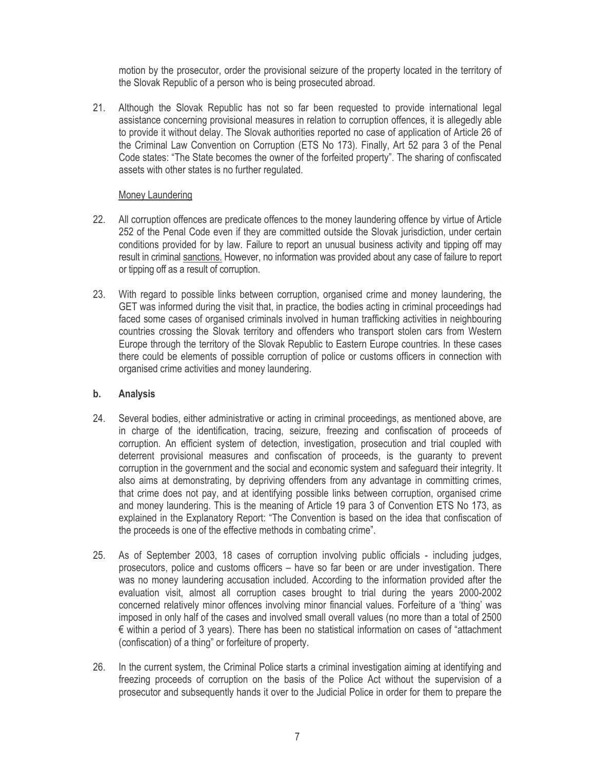motion by the prosecutor, order the provisional seizure of the property located in the territory of the Slovak Republic of a person who is being prosecuted abroad.

Although the Slovak Republic has not so far been requested to provide international legal  $21.$ assistance concerning provisional measures in relation to corruption offences, it is allegedly able to provide it without delay. The Slovak authorities reported no case of application of Article 26 of the Criminal Law Convention on Corruption (ETS No 173). Finally, Art 52 para 3 of the Penal Code states: "The State becomes the owner of the forfeited property". The sharing of confiscated assets with other states is no further regulated.

# Money Laundering

- $22.$ All corruption offences are predicate offences to the money laundering offence by virtue of Article 252 of the Penal Code even if they are committed outside the Slovak jurisdiction, under certain conditions provided for by law. Failure to report an unusual business activity and tipping off may result in criminal sanctions. However, no information was provided about any case of failure to report or tipping off as a result of corruption.
- $23.$ With regard to possible links between corruption, organised crime and money laundering, the GET was informed during the visit that, in practice, the bodies acting in criminal proceedings had faced some cases of organised criminals involved in human trafficking activities in neighbouring countries crossing the Slovak territory and offenders who transport stolen cars from Western Europe through the territory of the Slovak Republic to Eastern Europe countries. In these cases there could be elements of possible corruption of police or customs officers in connection with organised crime activities and money laundering.

#### b. **Analysis**

- 24. Several bodies, either administrative or acting in criminal proceedings, as mentioned above, are in charge of the identification, tracing, seizure, freezing and confiscation of proceeds of corruption. An efficient system of detection, investigation, prosecution and trial coupled with deterrent provisional measures and confiscation of proceeds, is the quaranty to prevent corruption in the government and the social and economic system and safeguard their integrity. It also aims at demonstrating, by depriving offenders from any advantage in committing crimes, that crime does not pay, and at identifying possible links between corruption, organised crime and money laundering. This is the meaning of Article 19 para 3 of Convention ETS No 173, as explained in the Explanatory Report: "The Convention is based on the idea that confiscation of the proceeds is one of the effective methods in combating crime".
- $25.$ As of September 2003, 18 cases of corruption involving public officials - including judges, prosecutors, police and customs officers – have so far been or are under investigation. There was no money laundering accusation included. According to the information provided after the evaluation visit, almost all corruption cases brought to trial during the years 2000-2002 concerned relatively minor offences involving minor financial values. Forfeiture of a 'thing' was imposed in only half of the cases and involved small overall values (no more than a total of 2500  $\epsilon$  within a period of 3 years). There has been no statistical information on cases of "attachment" (confiscation) of a thing" or forfeiture of property.
- 26. In the current system, the Criminal Police starts a criminal investigation aiming at identifying and freezing proceeds of corruption on the basis of the Police Act without the supervision of a prosecutor and subsequently hands it over to the Judicial Police in order for them to prepare the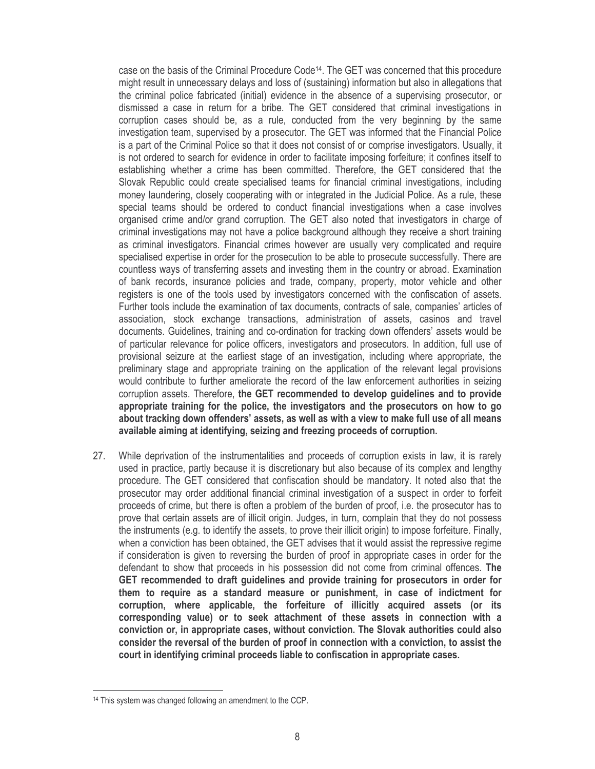case on the basis of the Criminal Procedure Code<sup>14</sup>. The GET was concerned that this procedure might result in unnecessary delays and loss of (sustaining) information but also in allegations that the criminal police fabricated (initial) evidence in the absence of a supervising prosecutor, or dismissed a case in return for a bribe. The GET considered that criminal investigations in corruption cases should be, as a rule, conducted from the very beginning by the same investigation team, supervised by a prosecutor. The GET was informed that the Financial Police is a part of the Criminal Police so that it does not consist of or comprise investigators. Usually, it is not ordered to search for evidence in order to facilitate imposing forfeiture; it confines itself to establishing whether a crime has been committed. Therefore, the GET considered that the Slovak Republic could create specialised teams for financial criminal investigations, including money laundering, closely cooperating with or integrated in the Judicial Police. As a rule, these special teams should be ordered to conduct financial investigations when a case involves organised crime and/or grand corruption. The GET also noted that investigators in charge of criminal investigations may not have a police background although they receive a short training as criminal investigators. Financial crimes however are usually very complicated and require specialised expertise in order for the prosecution to be able to prosecute successfully. There are countless ways of transferring assets and investing them in the country or abroad. Examination of bank records, insurance policies and trade, company, property, motor vehicle and other registers is one of the tools used by investigators concerned with the confiscation of assets. Further tools include the examination of tax documents, contracts of sale, companies' articles of association, stock exchange transactions, administration of assets, casinos and travel documents. Guidelines, training and co-ordination for tracking down offenders' assets would be of particular relevance for police officers, investigators and prosecutors. In addition, full use of provisional seizure at the earliest stage of an investigation, including where appropriate, the preliminary stage and appropriate training on the application of the relevant legal provisions would contribute to further ameliorate the record of the law enforcement authorities in seizing corruption assets. Therefore, the GET recommended to develop guidelines and to provide appropriate training for the police, the investigators and the prosecutors on how to go about tracking down offenders' assets, as well as with a view to make full use of all means available aiming at identifying, seizing and freezing proceeds of corruption.

 $27<sub>1</sub>$ While deprivation of the instrumentalities and proceeds of corruption exists in law, it is rarely used in practice, partly because it is discretionary but also because of its complex and lengthy procedure. The GET considered that confiscation should be mandatory. It noted also that the prosecutor may order additional financial criminal investigation of a suspect in order to forfeit proceeds of crime, but there is often a problem of the burden of proof, i.e. the prosecutor has to prove that certain assets are of illicit origin. Judges, in turn, complain that they do not possess the instruments (e.g. to identify the assets, to prove their illicit origin) to impose forfeiture. Finally, when a conviction has been obtained, the GET advises that it would assist the repressive regime if consideration is given to reversing the burden of proof in appropriate cases in order for the defendant to show that proceeds in his possession did not come from criminal offences. The GET recommended to draft guidelines and provide training for prosecutors in order for them to require as a standard measure or punishment, in case of indictment for corruption, where applicable, the forfeiture of illicitly acquired assets (or its corresponding value) or to seek attachment of these assets in connection with a conviction or, in appropriate cases, without conviction. The Slovak authorities could also consider the reversal of the burden of proof in connection with a conviction, to assist the court in identifying criminal proceeds liable to confiscation in appropriate cases.

<sup>&</sup>lt;sup>14</sup> This system was changed following an amendment to the CCP.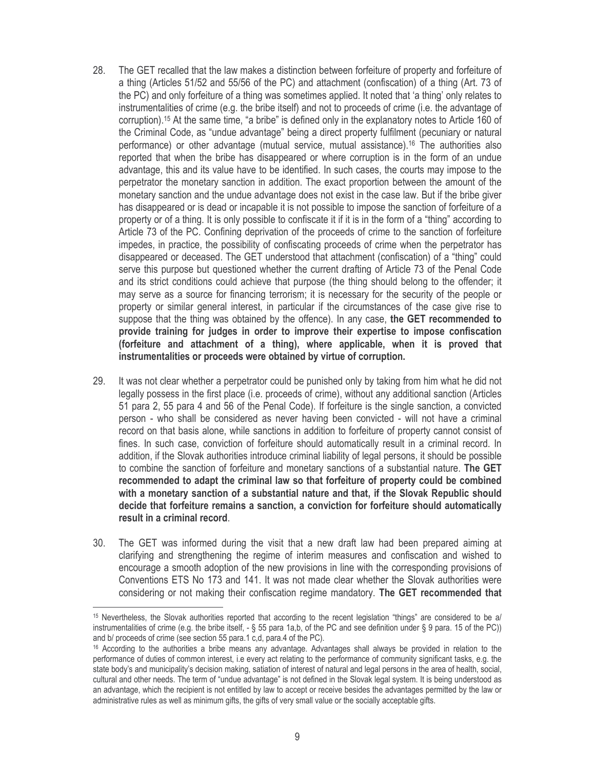- 28. The GET recalled that the law makes a distinction between forfeiture of property and forfeiture of a thing (Articles 51/52 and 55/56 of the PC) and attachment (confiscation) of a thing (Art. 73 of the PC) and only forfeiture of a thing was sometimes applied. It noted that 'a thing' only relates to instrumentalities of crime (e.g. the bribe itself) and not to proceeds of crime (i.e. the advantage of corruption).<sup>15</sup> At the same time, "a bribe" is defined only in the explanatory notes to Article 160 of the Criminal Code, as "undue advantage" being a direct property fulfilment (pecuniary or natural performance) or other advantage (mutual service, mutual assistance).<sup>16</sup> The authorities also reported that when the bribe has disappeared or where corruption is in the form of an undue advantage, this and its value have to be identified. In such cases, the courts may impose to the perpetrator the monetary sanction in addition. The exact proportion between the amount of the monetary sanction and the undue advantage does not exist in the case law. But if the bribe giver has disappeared or is dead or incapable it is not possible to impose the sanction of forfeiture of a property or of a thing. It is only possible to confiscate it if it is in the form of a "thing" according to Article 73 of the PC. Confining deprivation of the proceeds of crime to the sanction of forfeiture impedes, in practice, the possibility of confiscating proceeds of crime when the perpetrator has disappeared or deceased. The GET understood that attachment (confiscation) of a "thing" could serve this purpose but questioned whether the current drafting of Article 73 of the Penal Code and its strict conditions could achieve that purpose (the thing should belong to the offender; it may serve as a source for financing terrorism; it is necessary for the security of the people or property or similar general interest, in particular if the circumstances of the case give rise to suppose that the thing was obtained by the offence). In any case, the GET recommended to provide training for judges in order to improve their expertise to impose confiscation (forfeiture and attachment of a thing), where applicable, when it is proved that instrumentalities or proceeds were obtained by virtue of corruption.
- It was not clear whether a perpetrator could be punished only by taking from him what he did not 29. legally possess in the first place (i.e. proceeds of crime), without any additional sanction (Articles 51 para 2, 55 para 4 and 56 of the Penal Code). If forfeiture is the single sanction, a convicted person - who shall be considered as never having been convicted - will not have a criminal record on that basis alone, while sanctions in addition to forfeiture of property cannot consist of fines. In such case, conviction of forfeiture should automatically result in a criminal record. In addition, if the Slovak authorities introduce criminal liability of legal persons, it should be possible to combine the sanction of forfeiture and monetary sanctions of a substantial nature. The GET recommended to adapt the criminal law so that forfeiture of property could be combined with a monetary sanction of a substantial nature and that, if the Slovak Republic should decide that forfeiture remains a sanction, a conviction for forfeiture should automatically result in a criminal record.
- 30. The GET was informed during the visit that a new draft law had been prepared aiming at clarifying and strengthening the regime of interim measures and confiscation and wished to encourage a smooth adoption of the new provisions in line with the corresponding provisions of Conventions ETS No 173 and 141. It was not made clear whether the Slovak authorities were considering or not making their confiscation regime mandatory. The GET recommended that

<sup>&</sup>lt;sup>15</sup> Nevertheless, the Slovak authorities reported that according to the recent legislation "things" are considered to be a/ instrumentalities of crime (e.g. the bribe itself,  $-$  § 55 para 1a,b, of the PC and see definition under § 9 para. 15 of the PC)) and b/ proceeds of crime (see section 55 para.1 c,d, para.4 of the PC).

<sup>&</sup>lt;sup>16</sup> According to the authorities a bribe means any advantage. Advantages shall always be provided in relation to the performance of duties of common interest, i.e every act relating to the performance of community significant tasks, e.g. the state body's and municipality's decision making, satiation of interest of natural and legal persons in the area of health, social, cultural and other needs. The term of "undue advantage" is not defined in the Slovak legal system. It is being understood as an advantage, which the recipient is not entitled by law to accept or receive besides the advantages permitted by the law or administrative rules as well as minimum gifts, the gifts of very small value or the socially acceptable gifts.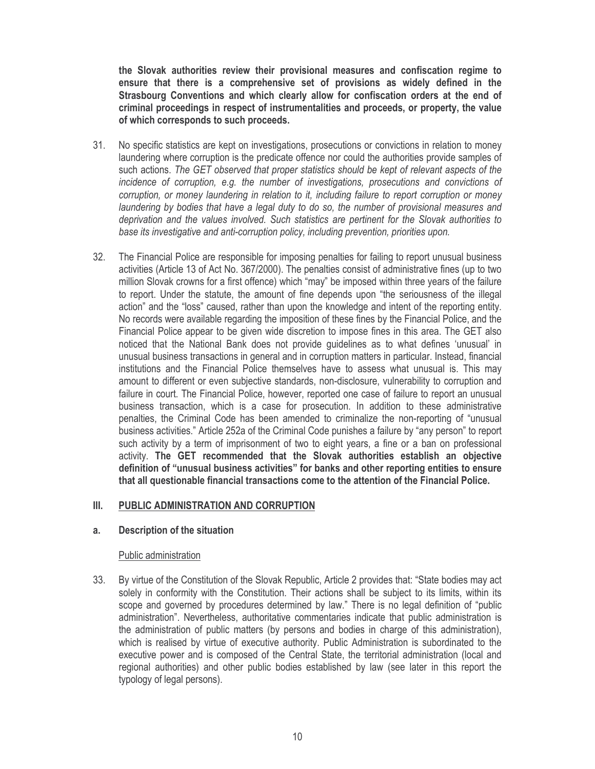the Slovak authorities review their provisional measures and confiscation regime to ensure that there is a comprehensive set of provisions as widely defined in the Strasbourg Conventions and which clearly allow for confiscation orders at the end of criminal proceedings in respect of instrumentalities and proceeds, or property, the value of which corresponds to such proceeds.

- $31.$ No specific statistics are kept on investigations, prosecutions or convictions in relation to money laundering where corruption is the predicate offence nor could the authorities provide samples of such actions. The GET observed that proper statistics should be kept of relevant aspects of the incidence of corruption, e.g. the number of investigations, prosecutions and convictions of corruption, or money laundering in relation to it, including failure to report corruption or money laundering by bodies that have a legal duty to do so, the number of provisional measures and deprivation and the values involved. Such statistics are pertinent for the Slovak authorities to base its investigative and anti-corruption policy, including prevention, priorities upon.
- 32. The Financial Police are responsible for imposing penalties for failing to report unusual business activities (Article 13 of Act No. 367/2000). The penalties consist of administrative fines (up to two million Slovak crowns for a first offence) which "may" be imposed within three years of the failure to report. Under the statute, the amount of fine depends upon "the seriousness of the illegal action" and the "loss" caused, rather than upon the knowledge and intent of the reporting entity. No records were available regarding the imposition of these fines by the Financial Police, and the Financial Police appear to be given wide discretion to impose fines in this area. The GET also noticed that the National Bank does not provide quidelines as to what defines 'unusual' in unusual business transactions in general and in corruption matters in particular. Instead, financial institutions and the Financial Police themselves have to assess what unusual is. This may amount to different or even subjective standards, non-disclosure, vulnerability to corruption and failure in court. The Financial Police, however, reported one case of failure to report an unusual business transaction, which is a case for prosecution. In addition to these administrative penalties, the Criminal Code has been amended to criminalize the non-reporting of "unusual business activities." Article 252a of the Criminal Code punishes a failure by "any person" to report such activity by a term of imprisonment of two to eight years, a fine or a ban on professional activity. The GET recommended that the Slovak authorities establish an objective definition of "unusual business activities" for banks and other reporting entities to ensure that all questionable financial transactions come to the attention of the Financial Police.

#### $III.$ PUBLIC ADMINISTRATION AND CORRUPTION

#### a. Description of the situation

# Public administration

33. By virtue of the Constitution of the Slovak Republic, Article 2 provides that: "State bodies may act solely in conformity with the Constitution. Their actions shall be subject to its limits, within its scope and governed by procedures determined by law." There is no legal definition of "public administration". Nevertheless, authoritative commentaries indicate that public administration is the administration of public matters (by persons and bodies in charge of this administration), which is realised by virtue of executive authority. Public Administration is subordinated to the executive power and is composed of the Central State, the territorial administration (local and regional authorities) and other public bodies established by law (see later in this report the typology of legal persons).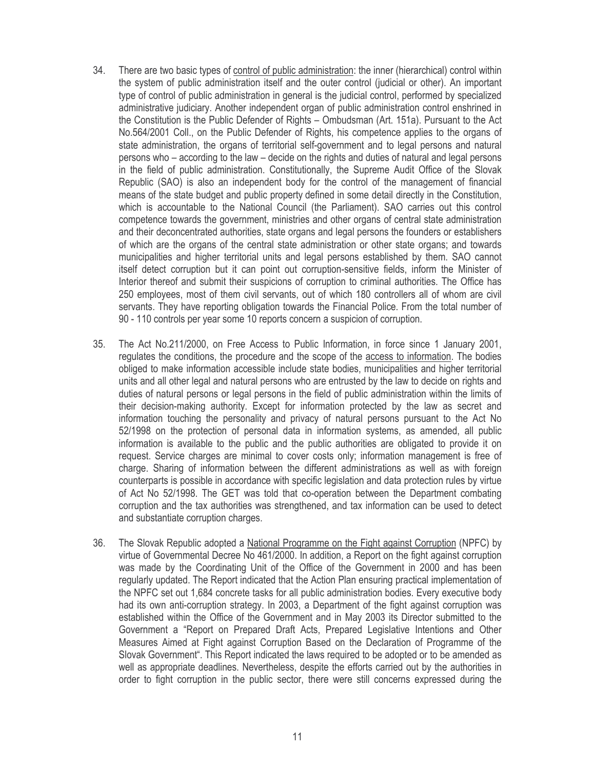- 34. There are two basic types of control of public administration: the inner (hierarchical) control within the system of public administration itself and the outer control (judicial or other). An important type of control of public administration in general is the judicial control, performed by specialized administrative judiciary. Another independent organ of public administration control enshrined in the Constitution is the Public Defender of Rights - Ombudsman (Art. 151a). Pursuant to the Act No.564/2001 Coll., on the Public Defender of Rights, his competence applies to the organs of state administration, the organs of territorial self-government and to legal persons and natural persons who – according to the law – decide on the rights and duties of natural and legal persons in the field of public administration. Constitutionally, the Supreme Audit Office of the Slovak Republic (SAO) is also an independent body for the control of the management of financial means of the state budget and public property defined in some detail directly in the Constitution. which is accountable to the National Council (the Parliament). SAO carries out this control competence towards the government, ministries and other organs of central state administration and their deconcentrated authorities, state organs and legal persons the founders or establishers of which are the organs of the central state administration or other state organs; and towards municipalities and higher territorial units and legal persons established by them. SAO cannot itself detect corruption but it can point out corruption-sensitive fields, inform the Minister of Interior thereof and submit their suspicions of corruption to criminal authorities. The Office has 250 employees, most of them civil servants, out of which 180 controllers all of whom are civil servants. They have reporting obligation towards the Financial Police. From the total number of 90 - 110 controls per year some 10 reports concern a suspicion of corruption.
- The Act No.211/2000, on Free Access to Public Information, in force since 1 January 2001,  $35.$ regulates the conditions, the procedure and the scope of the access to information. The bodies obliged to make information accessible include state bodies, municipalities and higher territorial units and all other legal and natural persons who are entrusted by the law to decide on rights and duties of natural persons or legal persons in the field of public administration within the limits of their decision-making authority. Except for information protected by the law as secret and information touching the personality and privacy of natural persons pursuant to the Act No 52/1998 on the protection of personal data in information systems, as amended, all public information is available to the public and the public authorities are obligated to provide it on request. Service charges are minimal to cover costs only; information management is free of charge. Sharing of information between the different administrations as well as with foreign counterparts is possible in accordance with specific legislation and data protection rules by virtue of Act No 52/1998. The GET was told that co-operation between the Department combating corruption and the tax authorities was strengthened, and tax information can be used to detect and substantiate corruption charges.
- 36. The Slovak Republic adopted a National Programme on the Fight against Corruption (NPFC) by virtue of Governmental Decree No 461/2000. In addition, a Report on the fight against corruption was made by the Coordinating Unit of the Office of the Government in 2000 and has been regularly updated. The Report indicated that the Action Plan ensuring practical implementation of the NPFC set out 1,684 concrete tasks for all public administration bodies. Every executive body had its own anti-corruption strategy. In 2003, a Department of the fight against corruption was established within the Office of the Government and in May 2003 its Director submitted to the Government a "Report on Prepared Draft Acts, Prepared Legislative Intentions and Other Measures Aimed at Fight against Corruption Based on the Declaration of Programme of the Slovak Government". This Report indicated the laws required to be adopted or to be amended as well as appropriate deadlines. Nevertheless, despite the efforts carried out by the authorities in order to fight corruption in the public sector, there were still concerns expressed during the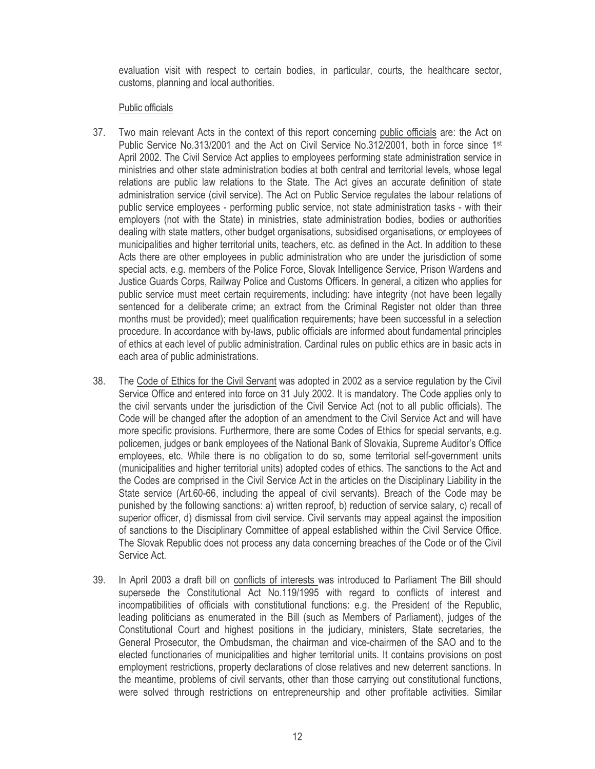evaluation visit with respect to certain bodies, in particular, courts, the healthcare sector, customs, planning and local authorities.

# Public officials

- 37. Two main relevant Acts in the context of this report concerning public officials are: the Act on Public Service No.313/2001 and the Act on Civil Service No.312/2001, both in force since 1st April 2002. The Civil Service Act applies to employees performing state administration service in ministries and other state administration bodies at both central and territorial levels, whose legal relations are public law relations to the State. The Act gives an accurate definition of state administration service (civil service). The Act on Public Service regulates the labour relations of public service employees - performing public service, not state administration tasks - with their employers (not with the State) in ministries, state administration bodies, bodies or authorities dealing with state matters, other budget organisations, subsidised organisations, or employees of municipalities and higher territorial units, teachers, etc. as defined in the Act. In addition to these Acts there are other employees in public administration who are under the jurisdiction of some special acts, e.g. members of the Police Force, Slovak Intelligence Service, Prison Wardens and Justice Guards Corps, Railway Police and Customs Officers. In general, a citizen who applies for public service must meet certain requirements, including: have integrity (not have been legally sentenced for a deliberate crime; an extract from the Criminal Register not older than three months must be provided); meet qualification requirements; have been successful in a selection procedure. In accordance with by-laws, public officials are informed about fundamental principles of ethics at each level of public administration. Cardinal rules on public ethics are in basic acts in each area of public administrations.
- The Code of Ethics for the Civil Servant was adopted in 2002 as a service regulation by the Civil 38. Service Office and entered into force on 31 July 2002. It is mandatory. The Code applies only to the civil servants under the jurisdiction of the Civil Service Act (not to all public officials). The Code will be changed after the adoption of an amendment to the Civil Service Act and will have more specific provisions. Furthermore, there are some Codes of Ethics for special servants, e.g. policemen, judges or bank employees of the National Bank of Slovakia, Supreme Auditor's Office employees, etc. While there is no obligation to do so, some territorial self-government units (municipalities and higher territorial units) adopted codes of ethics. The sanctions to the Act and the Codes are comprised in the Civil Service Act in the articles on the Disciplinary Liability in the State service (Art.60-66, including the appeal of civil servants). Breach of the Code may be punished by the following sanctions: a) written reproof, b) reduction of service salary, c) recall of superior officer, d) dismissal from civil service. Civil servants may appeal against the imposition of sanctions to the Disciplinary Committee of appeal established within the Civil Service Office. The Slovak Republic does not process any data concerning breaches of the Code or of the Civil Service Act.
- In April 2003 a draft bill on conflicts of interests was introduced to Parliament The Bill should 39. supersede the Constitutional Act No.119/1995 with regard to conflicts of interest and incompatibilities of officials with constitutional functions: e.g. the President of the Republic, leading politicians as enumerated in the Bill (such as Members of Parliament), judges of the Constitutional Court and highest positions in the judiciary, ministers, State secretaries, the General Prosecutor, the Ombudsman, the chairman and vice-chairmen of the SAO and to the elected functionaries of municipalities and higher territorial units. It contains provisions on post employment restrictions, property declarations of close relatives and new deterrent sanctions. In the meantime, problems of civil servants, other than those carrying out constitutional functions. were solved through restrictions on entrepreneurship and other profitable activities. Similar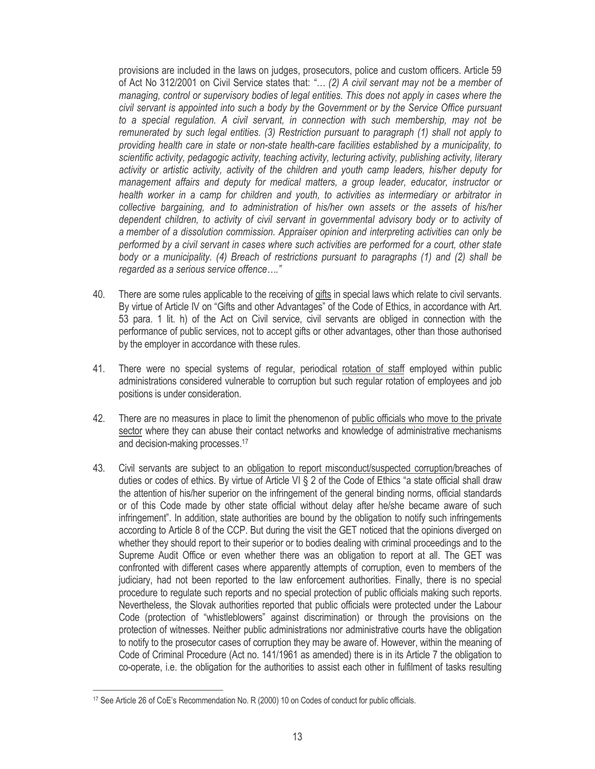provisions are included in the laws on judges, prosecutors, police and custom officers. Article 59 of Act No 312/2001 on Civil Service states that: "... (2) A civil servant may not be a member of managing, control or supervisory bodies of legal entities. This does not apply in cases where the civil servant is appointed into such a body by the Government or by the Service Office pursuant to a special regulation. A civil servant, in connection with such membership, may not be remunerated by such legal entities. (3) Restriction pursuant to paragraph (1) shall not apply to providing health care in state or non-state health-care facilities established by a municipality, to scientific activity, pedagogic activity, teaching activity, lecturing activity, publishing activity, literary activity or artistic activity, activity of the children and youth camp leaders, his/her deputy for management affairs and deputy for medical matters, a group leader, educator, instructor or health worker in a camp for children and youth, to activities as intermediary or arbitrator in collective bargaining, and to administration of his/her own assets or the assets of his/her dependent children, to activity of civil servant in governmental advisory body or to activity of a member of a dissolution commission. Appraiser opinion and interpreting activities can only be performed by a civil servant in cases where such activities are performed for a court, other state body or a municipality. (4) Breach of restrictions pursuant to paragraphs (1) and (2) shall be regarded as a serious service offence...."

- There are some rules applicable to the receiving of gifts in special laws which relate to civil servants. 40. By virtue of Article IV on "Gifts and other Advantages" of the Code of Ethics, in accordance with Art. 53 para. 1 lit. h) of the Act on Civil service, civil servants are obliged in connection with the performance of public services, not to accept gifts or other advantages, other than those authorised by the employer in accordance with these rules.
- 41. There were no special systems of regular, periodical rotation of staff employed within public administrations considered vulnerable to corruption but such regular rotation of employees and job positions is under consideration.
- 42. There are no measures in place to limit the phenomenon of public officials who move to the private sector where they can abuse their contact networks and knowledge of administrative mechanisms and decision-making processes.<sup>17</sup>
- 43. Civil servants are subject to an obligation to report misconduct/suspected corruption/breaches of duties or codes of ethics. By virtue of Article VI § 2 of the Code of Ethics "a state official shall draw the attention of his/her superior on the infringement of the general binding norms, official standards or of this Code made by other state official without delay after he/she became aware of such infringement". In addition, state authorities are bound by the obligation to notify such infringements according to Article 8 of the CCP. But during the visit the GET noticed that the opinions diverged on whether they should report to their superior or to bodies dealing with criminal proceedings and to the Supreme Audit Office or even whether there was an obligation to report at all. The GET was confronted with different cases where apparently attempts of corruption, even to members of the judiciary, had not been reported to the law enforcement authorities. Finally, there is no special procedure to regulate such reports and no special protection of public officials making such reports. Nevertheless, the Slovak authorities reported that public officials were protected under the Labour Code (protection of "whistleblowers" against discrimination) or through the provisions on the protection of witnesses. Neither public administrations nor administrative courts have the obligation to notify to the prosecutor cases of corruption they may be aware of. However, within the meaning of Code of Criminal Procedure (Act no. 141/1961 as amended) there is in its Article 7 the obligation to co-operate, i.e. the obligation for the authorities to assist each other in fulfilment of tasks resulting

<sup>&</sup>lt;sup>17</sup> See Article 26 of CoE's Recommendation No. R (2000) 10 on Codes of conduct for public officials.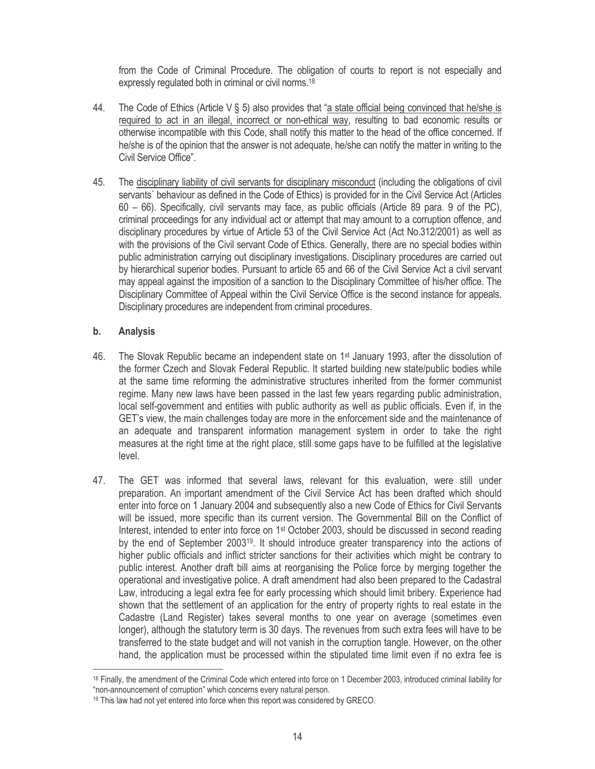from the Code of Criminal Procedure. The obligation of courts to report is not especially and expressly regulated both in criminal or civil norms.<sup>18</sup>

- The Code of Ethics (Article  $V \S 5$ ) also provides that "a state official being convinced that he/she is 44. required to act in an illegal, incorrect or non-ethical way, resulting to bad economic results or otherwise incompatible with this Code, shall notify this matter to the head of the office concerned. If he/she is of the opinion that the answer is not adequate, he/she can notify the matter in writing to the Civil Service Office"
- 45. The disciplinary liability of civil servants for disciplinary misconduct (including the obligations of civil servants' behaviour as defined in the Code of Ethics) is provided for in the Civil Service Act (Articles  $60 - 66$ ). Specifically, civil servants may face, as public officials (Article 89 para. 9 of the PC), criminal proceedings for any individual act or attempt that may amount to a corruption offence, and disciplinary procedures by virtue of Article 53 of the Civil Service Act (Act No.312/2001) as well as with the provisions of the Civil servant Code of Ethics. Generally, there are no special bodies within public administration carrying out disciplinary investigations. Disciplinary procedures are carried out by hierarchical superior bodies. Pursuant to article 65 and 66 of the Civil Service Act a civil servant may appeal against the imposition of a sanction to the Disciplinary Committee of his/her office. The Disciplinary Committee of Appeal within the Civil Service Office is the second instance for appeals. Disciplinary procedures are independent from criminal procedures.

#### $\mathbf b$ . **Analysis**

- The Slovak Republic became an independent state on 1<sup>st</sup> January 1993, after the dissolution of 46 the former Czech and Slovak Federal Republic. It started building new state/public bodies while at the same time reforming the administrative structures inherited from the former communist regime. Many new laws have been passed in the last few years regarding public administration, local self-government and entities with public authority as well as public officials. Even if, in the GET's view, the main challenges today are more in the enforcement side and the maintenance of an adequate and transparent information management system in order to take the right measures at the right time at the right place, still some gaps have to be fulfilled at the legislative level.
- 47. The GET was informed that several laws, relevant for this evaluation, were still under preparation. An important amendment of the Civil Service Act has been drafted which should enter into force on 1 January 2004 and subsequently also a new Code of Ethics for Civil Servants will be issued, more specific than its current version. The Governmental Bill on the Conflict of Interest, intended to enter into force on 1<sup>st</sup> October 2003, should be discussed in second reading by the end of September 2003<sup>19</sup>. It should introduce greater transparency into the actions of higher public officials and inflict stricter sanctions for their activities which might be contrary to public interest. Another draft bill aims at reorganising the Police force by merging together the operational and investigative police. A draft amendment had also been prepared to the Cadastral Law, introducing a legal extra fee for early processing which should limit bribery. Experience had shown that the settlement of an application for the entry of property rights to real estate in the Cadastre (Land Register) takes several months to one year on average (sometimes even longer), although the statutory term is 30 days. The revenues from such extra fees will have to be transferred to the state budget and will not vanish in the corruption tangle. However, on the other hand, the application must be processed within the stipulated time limit even if no extra fee is

<sup>&</sup>lt;sup>18</sup> Finally, the amendment of the Criminal Code which entered into force on 1 December 2003, introduced criminal liability for "non-announcement of corruption" which concerns every natural person.

<sup>&</sup>lt;sup>19</sup> This law had not yet entered into force when this report was considered by GRECO.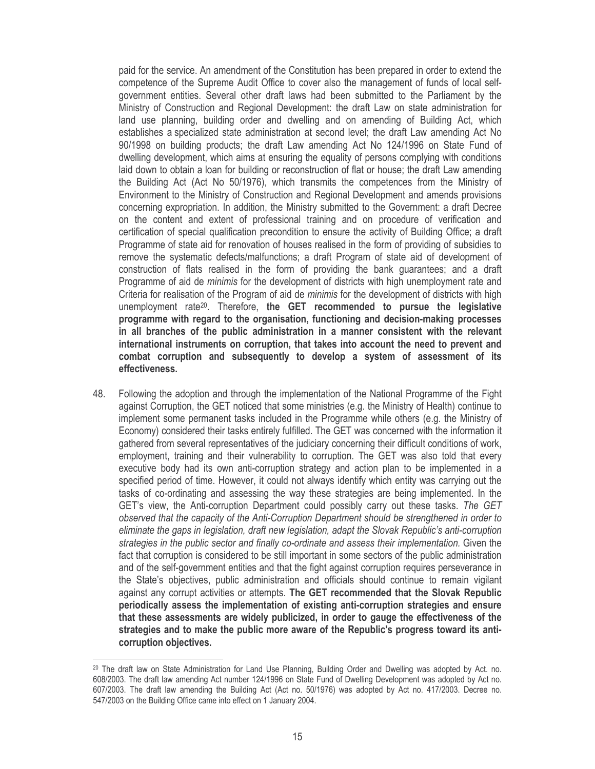paid for the service. An amendment of the Constitution has been prepared in order to extend the competence of the Supreme Audit Office to cover also the management of funds of local selfgovernment entities. Several other draft laws had been submitted to the Parliament by the Ministry of Construction and Regional Development: the draft Law on state administration for land use planning, building order and dwelling and on amending of Building Act, which establishes a specialized state administration at second level; the draft Law amending Act No 90/1998 on building products; the draft Law amending Act No 124/1996 on State Fund of dwelling development, which aims at ensuring the equality of persons complying with conditions laid down to obtain a loan for building or reconstruction of flat or house; the draft Law amending the Building Act (Act No 50/1976), which transmits the competences from the Ministry of Environment to the Ministry of Construction and Regional Development and amends provisions concerning expropriation. In addition, the Ministry submitted to the Government: a draft Decree on the content and extent of professional training and on procedure of verification and certification of special qualification precondition to ensure the activity of Building Office; a draft Programme of state aid for renovation of houses realised in the form of providing of subsidies to remove the systematic defects/malfunctions; a draft Program of state aid of development of construction of flats realised in the form of providing the bank guarantees; and a draft Programme of aid de *minimis* for the development of districts with high unemployment rate and Criteria for realisation of the Program of aid de *minimis* for the development of districts with high unemployment rate<sup>20</sup>. Therefore, the GET recommended to pursue the legislative programme with regard to the organisation, functioning and decision-making processes in all branches of the public administration in a manner consistent with the relevant international instruments on corruption, that takes into account the need to prevent and combat corruption and subsequently to develop a system of assessment of its effectiveness.

48. Following the adoption and through the implementation of the National Programme of the Fight against Corruption, the GET noticed that some ministries (e.g. the Ministry of Health) continue to implement some permanent tasks included in the Programme while others (e.g. the Ministry of Economy) considered their tasks entirely fulfilled. The GET was concerned with the information it gathered from several representatives of the judiciary concerning their difficult conditions of work, employment, training and their vulnerability to corruption. The GET was also told that every executive body had its own anti-corruption strategy and action plan to be implemented in a specified period of time. However, it could not always identify which entity was carrying out the tasks of co-ordinating and assessing the way these strategies are being implemented. In the GET's view, the Anti-corruption Department could possibly carry out these tasks. The GET observed that the capacity of the Anti-Corruption Department should be strengthened in order to eliminate the gaps in legislation, draft new legislation, adapt the Slovak Republic's anti-corruption strategies in the public sector and finally co-ordinate and assess their implementation. Given the fact that corruption is considered to be still important in some sectors of the public administration and of the self-government entities and that the fight against corruption requires perseverance in the State's objectives, public administration and officials should continue to remain vigilant against any corrupt activities or attempts. The GET recommended that the Slovak Republic periodically assess the implementation of existing anti-corruption strategies and ensure that these assessments are widely publicized, in order to gauge the effectiveness of the strategies and to make the public more aware of the Republic's progress toward its anticorruption objectives.

<sup>&</sup>lt;sup>20</sup> The draft law on State Administration for Land Use Planning, Building Order and Dwelling was adopted by Act. no. 608/2003. The draft law amending Act number 124/1996 on State Fund of Dwelling Development was adopted by Act no. 607/2003. The draft law amending the Building Act (Act no. 50/1976) was adopted by Act no. 417/2003. Decree no. 547/2003 on the Building Office came into effect on 1 January 2004.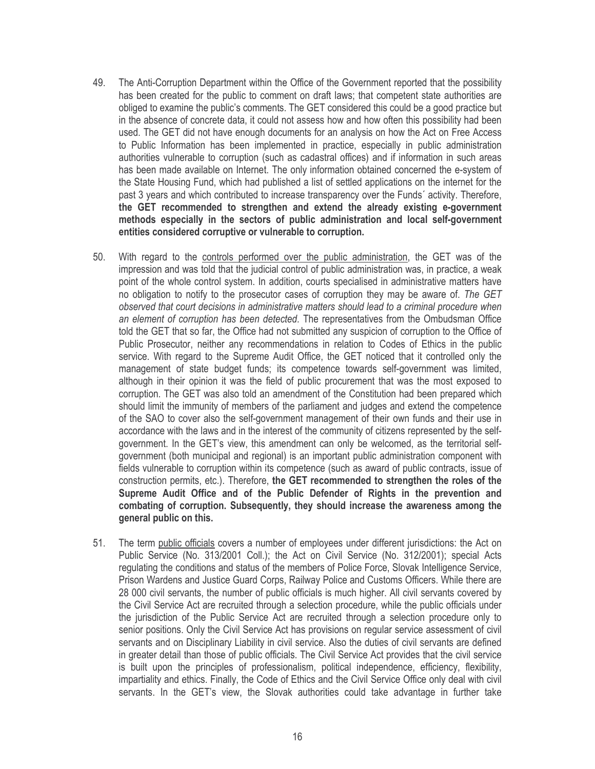- The Anti-Corruption Department within the Office of the Government reported that the possibility 49. has been created for the public to comment on draft laws; that competent state authorities are obliged to examine the public's comments. The GET considered this could be a good practice but in the absence of concrete data, it could not assess how and how often this possibility had been used. The GET did not have enough documents for an analysis on how the Act on Free Access to Public Information has been implemented in practice, especially in public administration authorities vulnerable to corruption (such as cadastral offices) and if information in such areas has been made available on Internet. The only information obtained concerned the e-system of the State Housing Fund, which had published a list of settled applications on the internet for the past 3 years and which contributed to increase transparency over the Funds' activity. Therefore, the GET recommended to strengthen and extend the already existing e-government methods especially in the sectors of public administration and local self-government entities considered corruptive or vulnerable to corruption.
- 50. With regard to the controls performed over the public administration, the GET was of the impression and was told that the judicial control of public administration was, in practice, a weak point of the whole control system. In addition, courts specialised in administrative matters have no obligation to notify to the prosecutor cases of corruption they may be aware of. The GET observed that court decisions in administrative matters should lead to a criminal procedure when an element of corruption has been detected. The representatives from the Ombudsman Office told the GET that so far, the Office had not submitted any suspicion of corruption to the Office of Public Prosecutor, neither any recommendations in relation to Codes of Ethics in the public service. With regard to the Supreme Audit Office, the GET noticed that it controlled only the management of state budget funds; its competence towards self-government was limited, although in their opinion it was the field of public procurement that was the most exposed to corruption. The GET was also told an amendment of the Constitution had been prepared which should limit the immunity of members of the parliament and judges and extend the competence of the SAO to cover also the self-government management of their own funds and their use in accordance with the laws and in the interest of the community of citizens represented by the selfgovernment. In the GET's view, this amendment can only be welcomed, as the territorial selfgovernment (both municipal and regional) is an important public administration component with fields vulnerable to corruption within its competence (such as award of public contracts, issue of construction permits, etc.). Therefore, the GET recommended to strengthen the roles of the Supreme Audit Office and of the Public Defender of Rights in the prevention and combating of corruption. Subsequently, they should increase the awareness among the general public on this.
- 51. The term public officials covers a number of employees under different jurisdictions: the Act on Public Service (No. 313/2001 Coll.); the Act on Civil Service (No. 312/2001); special Acts regulating the conditions and status of the members of Police Force, Slovak Intelligence Service, Prison Wardens and Justice Guard Corps, Railway Police and Customs Officers. While there are 28 000 civil servants, the number of public officials is much higher. All civil servants covered by the Civil Service Act are recruited through a selection procedure, while the public officials under the jurisdiction of the Public Service Act are recruited through a selection procedure only to senior positions. Only the Civil Service Act has provisions on regular service assessment of civil servants and on Disciplinary Liability in civil service. Also the duties of civil servants are defined in greater detail than those of public officials. The Civil Service Act provides that the civil service is built upon the principles of professionalism, political independence, efficiency, flexibility, impartiality and ethics. Finally, the Code of Ethics and the Civil Service Office only deal with civil servants. In the GET's view, the Slovak authorities could take advantage in further take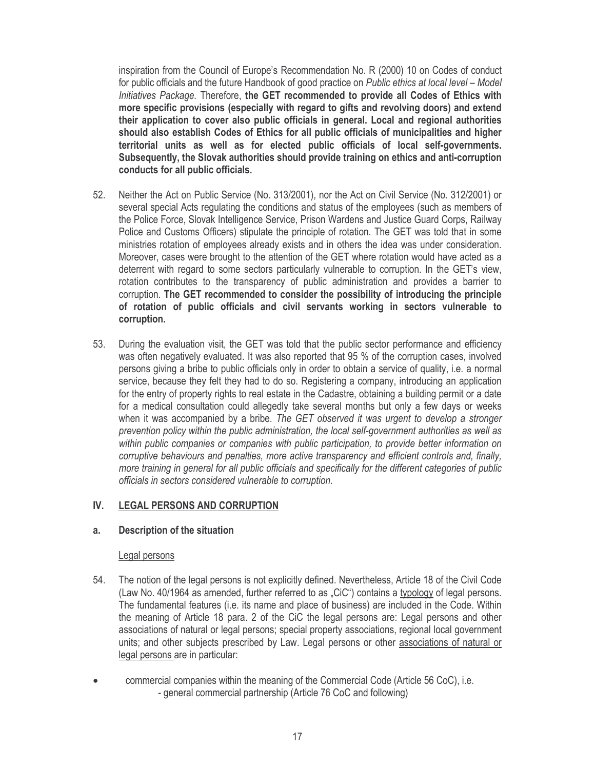inspiration from the Council of Europe's Recommendation No. R (2000) 10 on Codes of conduct for public officials and the future Handbook of good practice on Public ethics at local level - Model Initiatives Package. Therefore, the GET recommended to provide all Codes of Ethics with more specific provisions (especially with regard to gifts and revolving doors) and extend their application to cover also public officials in general. Local and regional authorities should also establish Codes of Ethics for all public officials of municipalities and higher territorial units as well as for elected public officials of local self-governments. Subsequently, the Slovak authorities should provide training on ethics and anti-corruption conducts for all public officials.

- $52.$ Neither the Act on Public Service (No. 313/2001), nor the Act on Civil Service (No. 312/2001) or several special Acts regulating the conditions and status of the employees (such as members of the Police Force, Slovak Intelligence Service, Prison Wardens and Justice Guard Corps, Railway Police and Customs Officers) stipulate the principle of rotation. The GET was told that in some ministries rotation of employees already exists and in others the idea was under consideration. Moreover, cases were brought to the attention of the GET where rotation would have acted as a deterrent with regard to some sectors particularly vulnerable to corruption. In the GET's view, rotation contributes to the transparency of public administration and provides a barrier to corruption. The GET recommended to consider the possibility of introducing the principle of rotation of public officials and civil servants working in sectors vulnerable to corruption.
- 53 During the evaluation visit, the GET was told that the public sector performance and efficiency was often negatively evaluated. It was also reported that 95 % of the corruption cases, involved persons giving a bribe to public officials only in order to obtain a service of quality, i.e. a normal service, because they felt they had to do so. Registering a company, introducing an application for the entry of property rights to real estate in the Cadastre, obtaining a building permit or a date for a medical consultation could allegedly take several months but only a few days or weeks when it was accompanied by a bribe. The GET observed it was urgent to develop a stronger prevention policy within the public administration, the local self-government authorities as well as within public companies or companies with public participation, to provide better information on corruptive behaviours and penalties, more active transparency and efficient controls and, finally, more training in general for all public officials and specifically for the different categories of public officials in sectors considered vulnerable to corruption.

#### IV. **LEGAL PERSONS AND CORRUPTION**

#### a. Description of the situation

# Legal persons

- The notion of the legal persons is not explicitly defined. Nevertheless, Article 18 of the Civil Code 54. (Law No. 40/1964 as amended, further referred to as "CiC") contains a typology of legal persons. The fundamental features (i.e. its name and place of business) are included in the Code. Within the meaning of Article 18 para. 2 of the CiC the legal persons are: Legal persons and other associations of natural or legal persons; special property associations, regional local government units; and other subjects prescribed by Law. Legal persons or other associations of natural or legal persons are in particular:
- commercial companies within the meaning of the Commercial Code (Article 56 CoC), i.e. - general commercial partnership (Article 76 CoC and following)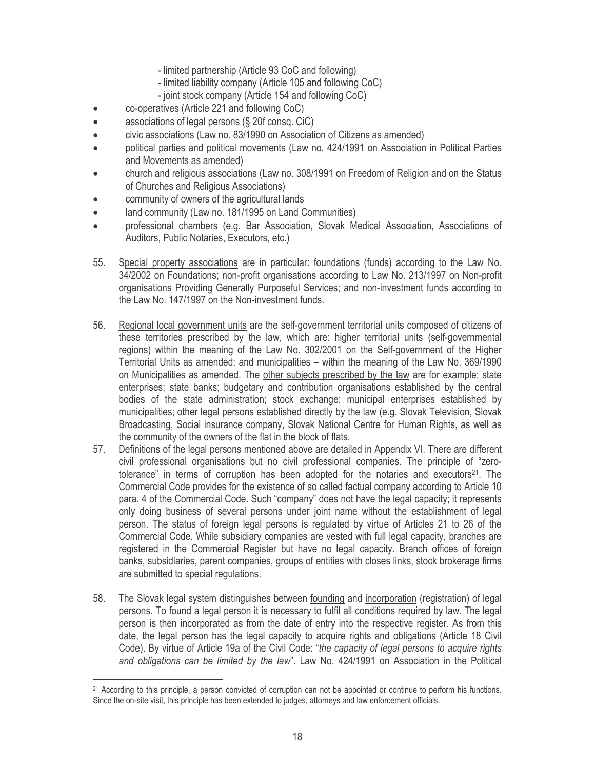- limited partnership (Article 93 CoC and following)
- limited liability company (Article 105 and following CoC)
- joint stock company (Article 154 and following CoC)
- co-operatives (Article 221 and following CoC)  $\bullet$
- associations of legal persons (§ 20f consq. CiC)  $\bullet$
- civic associations (Law no. 83/1990 on Association of Citizens as amended)  $\bullet$
- political parties and political movements (Law no. 424/1991 on Association in Political Parties and Movements as amended)
- church and religious associations (Law no. 308/1991 on Freedom of Religion and on the Status of Churches and Religious Associations)
- community of owners of the agricultural lands
- land community (Law no. 181/1995 on Land Communities)
- professional chambers (e.g. Bar Association, Slovak Medical Association, Associations of Auditors, Public Notaries, Executors, etc.)
- 55. Special property associations are in particular: foundations (funds) according to the Law No. 34/2002 on Foundations; non-profit organisations according to Law No. 213/1997 on Non-profit organisations Providing Generally Purposeful Services; and non-investment funds according to the Law No. 147/1997 on the Non-investment funds.
- 56. Regional local government units are the self-government territorial units composed of citizens of these territories prescribed by the law, which are: higher territorial units (self-governmental regions) within the meaning of the Law No. 302/2001 on the Self-government of the Higher Territorial Units as amended; and municipalities - within the meaning of the Law No. 369/1990 on Municipalities as amended. The other subjects prescribed by the law are for example: state enterprises; state banks; budgetary and contribution organisations established by the central bodies of the state administration; stock exchange; municipal enterprises established by municipalities; other legal persons established directly by the law (e.g. Slovak Television, Slovak Broadcasting, Social insurance company, Slovak National Centre for Human Rights, as well as the community of the owners of the flat in the block of flats.
- 57. Definitions of the legal persons mentioned above are detailed in Appendix VI. There are different civil professional organisations but no civil professional companies. The principle of "zerotolerance" in terms of corruption has been adopted for the notaries and executors<sup>21</sup>. The Commercial Code provides for the existence of so called factual company according to Article 10 para. 4 of the Commercial Code. Such "company" does not have the legal capacity; it represents only doing business of several persons under joint name without the establishment of legal person. The status of foreign legal persons is regulated by virtue of Articles 21 to 26 of the Commercial Code. While subsidiary companies are vested with full legal capacity, branches are registered in the Commercial Register but have no legal capacity. Branch offices of foreign banks, subsidiaries, parent companies, groups of entities with closes links, stock brokerage firms are submitted to special regulations.
- 58. The Slovak legal system distinguishes between founding and incorporation (registration) of legal persons. To found a legal person it is necessary to fulfil all conditions required by law. The legal person is then incorporated as from the date of entry into the respective register. As from this date, the legal person has the legal capacity to acquire rights and obligations (Article 18 Civil Code). By virtue of Article 19a of the Civil Code: "the capacity of legal persons to acquire rights and obligations can be limited by the law". Law No. 424/1991 on Association in the Political

<sup>&</sup>lt;sup>21</sup> According to this principle, a person convicted of corruption can not be appointed or continue to perform his functions. Since the on-site visit, this principle has been extended to judges, attorneys and law enforcement officials.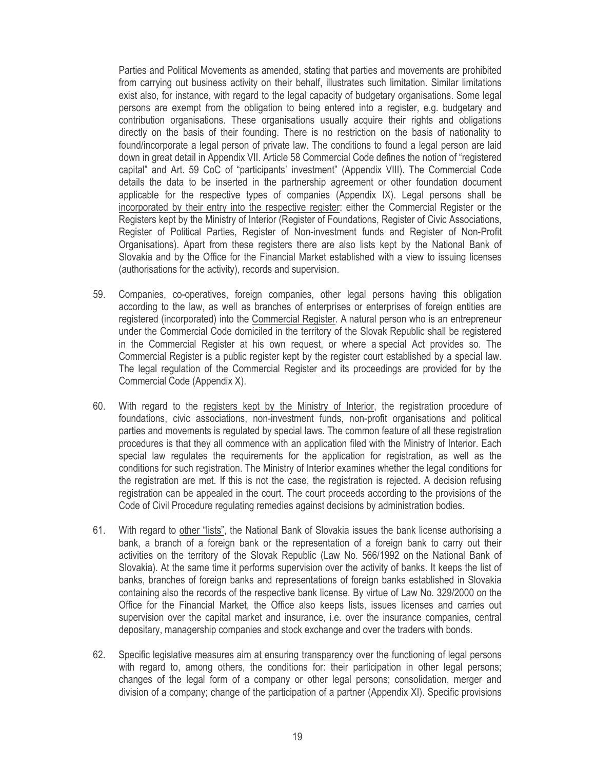Parties and Political Movements as amended, stating that parties and movements are prohibited from carrying out business activity on their behalf, illustrates such limitation. Similar limitations exist also, for instance, with regard to the legal capacity of budgetary organisations. Some legal persons are exempt from the obligation to being entered into a register, e.g. budgetary and contribution organisations. These organisations usually acquire their rights and obligations directly on the basis of their founding. There is no restriction on the basis of nationality to found/incorporate a legal person of private law. The conditions to found a legal person are laid down in great detail in Appendix VII. Article 58 Commercial Code defines the notion of "registered capital" and Art. 59 CoC of "participants' investment" (Appendix VIII). The Commercial Code details the data to be inserted in the partnership agreement or other foundation document applicable for the respective types of companies (Appendix IX). Legal persons shall be incorporated by their entry into the respective register: either the Commercial Register or the Registers kept by the Ministry of Interior (Register of Foundations, Register of Civic Associations, Register of Political Parties, Register of Non-investment funds and Register of Non-Profit Organisations). Apart from these registers there are also lists kept by the National Bank of Slovakia and by the Office for the Financial Market established with a view to issuing licenses (authorisations for the activity), records and supervision.

- Companies, co-operatives, foreign companies, other legal persons having this obligation 59. according to the law, as well as branches of enterprises or enterprises of foreign entities are registered (incorporated) into the Commercial Register. A natural person who is an entrepreneur under the Commercial Code domiciled in the territory of the Slovak Republic shall be registered in the Commercial Register at his own request, or where a special Act provides so. The Commercial Register is a public register kept by the register court established by a special law. The legal regulation of the Commercial Register and its proceedings are provided for by the Commercial Code (Appendix X).
- 60. With regard to the registers kept by the Ministry of Interior, the registration procedure of foundations, civic associations, non-investment funds, non-profit organisations and political parties and movements is regulated by special laws. The common feature of all these registration procedures is that they all commence with an application filed with the Ministry of Interior. Each special law regulates the requirements for the application for registration, as well as the conditions for such registration. The Ministry of Interior examines whether the legal conditions for the registration are met. If this is not the case, the registration is rejected. A decision refusing registration can be appealed in the court. The court proceeds according to the provisions of the Code of Civil Procedure requlating remedies against decisions by administration bodies.
- 61. With regard to other "lists", the National Bank of Slovakia issues the bank license authorising a bank, a branch of a foreign bank or the representation of a foreign bank to carry out their activities on the territory of the Slovak Republic (Law No. 566/1992 on the National Bank of Slovakia). At the same time it performs supervision over the activity of banks. It keeps the list of banks, branches of foreign banks and representations of foreign banks established in Slovakia containing also the records of the respective bank license. By virtue of Law No. 329/2000 on the Office for the Financial Market, the Office also keeps lists, issues licenses and carries out supervision over the capital market and insurance, i.e. over the insurance companies, central depositary, managership companies and stock exchange and over the traders with bonds.
- 62. Specific legislative measures aim at ensuring transparency over the functioning of legal persons with regard to, among others, the conditions for: their participation in other legal persons; changes of the legal form of a company or other legal persons; consolidation, merger and division of a company; change of the participation of a partner (Appendix XI). Specific provisions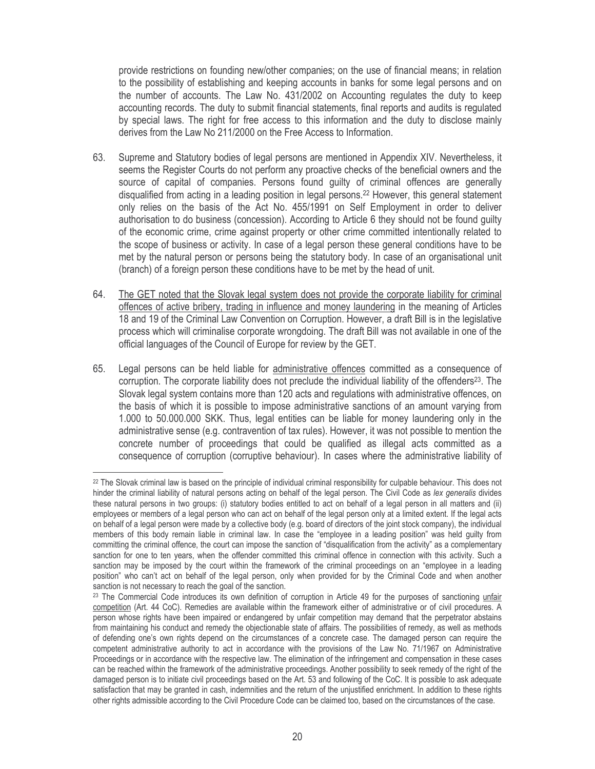provide restrictions on founding new/other companies; on the use of financial means; in relation to the possibility of establishing and keeping accounts in banks for some legal persons and on the number of accounts. The Law No. 431/2002 on Accounting regulates the duty to keep accounting records. The duty to submit financial statements, final reports and audits is regulated by special laws. The right for free access to this information and the duty to disclose mainly derives from the Law No 211/2000 on the Free Access to Information.

- Supreme and Statutory bodies of legal persons are mentioned in Appendix XIV. Nevertheless, it 63. seems the Register Courts do not perform any proactive checks of the beneficial owners and the source of capital of companies. Persons found quilty of criminal offences are generally disqualified from acting in a leading position in legal persons.<sup>22</sup> However, this general statement only relies on the basis of the Act No. 455/1991 on Self Employment in order to deliver authorisation to do business (concession). According to Article 6 they should not be found guilty of the economic crime, crime against property or other crime committed intentionally related to the scope of business or activity. In case of a legal person these general conditions have to be met by the natural person or persons being the statutory body. In case of an organisational unit (branch) of a foreign person these conditions have to be met by the head of unit.
- 64. The GET noted that the Slovak legal system does not provide the corporate liability for criminal offences of active bribery, trading in influence and money laundering in the meaning of Articles 18 and 19 of the Criminal Law Convention on Corruption. However, a draft Bill is in the legislative process which will criminalise corporate wrongdoing. The draft Bill was not available in one of the official languages of the Council of Europe for review by the GET.
- 65. Legal persons can be held liable for administrative offences committed as a consequence of corruption. The corporate liability does not preclude the individual liability of the offenders<sup>23</sup>. The Slovak legal system contains more than 120 acts and regulations with administrative offences, on the basis of which it is possible to impose administrative sanctions of an amount varying from 1.000 to 50.000.000 SKK. Thus, legal entities can be liable for money laundering only in the administrative sense (e.g. contravention of tax rules). However, it was not possible to mention the concrete number of proceedings that could be qualified as illegal acts committed as a consequence of corruption (corruptive behaviour). In cases where the administrative liability of

<sup>&</sup>lt;sup>22</sup> The Slovak criminal law is based on the principle of individual criminal responsibility for culpable behaviour. This does not hinder the criminal liability of natural persons acting on behalf of the legal person. The Civil Code as lex generalis divides these natural persons in two groups: (i) statutory bodies entitled to act on behalf of a legal person in all matters and (ii) employees or members of a legal person who can act on behalf of the legal person only at a limited extent. If the legal acts on behalf of a legal person were made by a collective body (e.g. board of directors of the joint stock company), the individual members of this body remain liable in criminal law. In case the "employee in a leading position" was held guilty from committing the criminal offence, the court can impose the sanction of "disqualification from the activity" as a complementary sanction for one to ten years, when the offender committed this criminal offence in connection with this activity. Such a sanction may be imposed by the court within the framework of the criminal proceedings on an "employee in a leading position" who can't act on behalf of the legal person, only when provided for by the Criminal Code and when another sanction is not necessary to reach the goal of the sanction.

<sup>&</sup>lt;sup>23</sup> The Commercial Code introduces its own definition of corruption in Article 49 for the purposes of sanctioning unfair competition (Art. 44 CoC). Remedies are available within the framework either of administrative or of civil procedures. A person whose rights have been impaired or endangered by unfair competition may demand that the perpetrator abstains from maintaining his conduct and remedy the objectionable state of affairs. The possibilities of remedy, as well as methods of defending one's own rights depend on the circumstances of a concrete case. The damaged person can require the competent administrative authority to act in accordance with the provisions of the Law No. 71/1967 on Administrative Proceedings or in accordance with the respective law. The elimination of the infringement and compensation in these cases can be reached within the framework of the administrative proceedings. Another possibility to seek remedy of the right of the damaged person is to initiate civil proceedings based on the Art. 53 and following of the CoC. It is possible to ask adequate satisfaction that may be granted in cash, indemnities and the return of the unjustified enrichment. In addition to these rights other rights admissible according to the Civil Procedure Code can be claimed too, based on the circumstances of the case.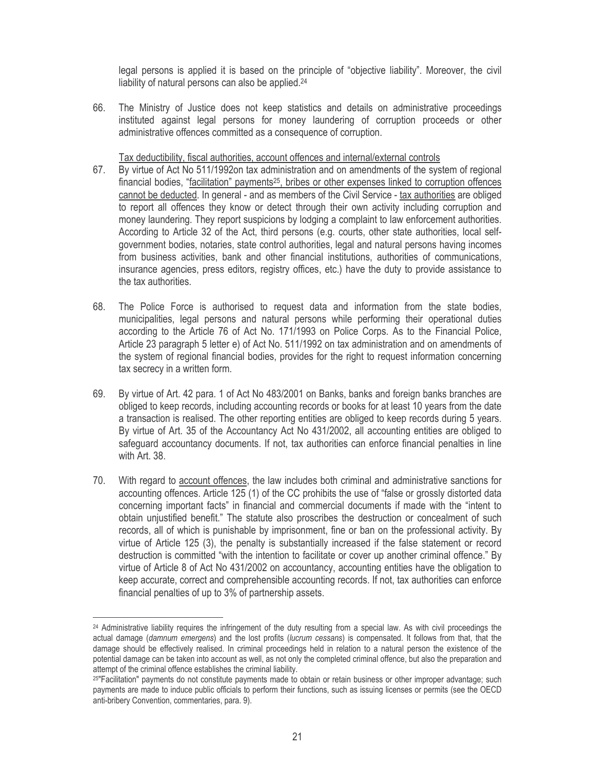legal persons is applied it is based on the principle of "objective liability". Moreover, the civil liability of natural persons can also be applied.<sup>24</sup>

The Ministry of Justice does not keep statistics and details on administrative proceedings 66. instituted against legal persons for money laundering of corruption proceeds or other administrative offences committed as a consequence of corruption.

Tax deductibility, fiscal authorities, account offences and internal/external controls

- 67. By virtue of Act No 511/1992on tax administration and on amendments of the system of regional financial bodies, "facilitation" payments<sup>25</sup>, bribes or other expenses linked to corruption offences cannot be deducted. In general - and as members of the Civil Service - tax authorities are obliged to report all offences they know or detect through their own activity including corruption and money laundering. They report suspicions by lodging a complaint to law enforcement authorities. According to Article 32 of the Act, third persons (e.g. courts, other state authorities, local selfgovernment bodies, notaries, state control authorities, legal and natural persons having incomes from business activities, bank and other financial institutions, authorities of communications, insurance agencies, press editors, registry offices, etc.) have the duty to provide assistance to the tax authorities.
- The Police Force is authorised to request data and information from the state bodies, 68. municipalities, legal persons and natural persons while performing their operational duties according to the Article 76 of Act No. 171/1993 on Police Corps. As to the Financial Police, Article 23 paragraph 5 letter e) of Act No. 511/1992 on tax administration and on amendments of the system of regional financial bodies, provides for the right to request information concerning tax secrecy in a written form.
- 69. By virtue of Art. 42 para. 1 of Act No 483/2001 on Banks, banks and foreign banks branches are obliged to keep records, including accounting records or books for at least 10 years from the date a transaction is realised. The other reporting entities are obliged to keep records during 5 years. By virtue of Art. 35 of the Accountancy Act No 431/2002, all accounting entities are obliged to safeguard accountancy documents. If not, tax authorities can enforce financial penalties in line with Art. 38.
- 70. With regard to account offences, the law includes both criminal and administrative sanctions for accounting offences. Article 125 (1) of the CC prohibits the use of "false or grossly distorted data concerning important facts" in financial and commercial documents if made with the "intent to obtain unjustified benefit." The statute also proscribes the destruction or concealment of such records, all of which is punishable by imprisonment, fine or ban on the professional activity. By virtue of Article 125 (3), the penalty is substantially increased if the false statement or record destruction is committed "with the intention to facilitate or cover up another criminal offence." By virtue of Article 8 of Act No 431/2002 on accountancy, accounting entities have the obligation to keep accurate, correct and comprehensible accounting records. If not, tax authorities can enforce financial penalties of up to 3% of partnership assets.

<sup>&</sup>lt;sup>24</sup> Administrative liability requires the infringement of the duty resulting from a special law. As with civil proceedings the actual damage (damnum emergens) and the lost profits (lucrum cessans) is compensated. It follows from that, that the damage should be effectively realised. In criminal proceedings held in relation to a natural person the existence of the potential damage can be taken into account as well, as not only the completed criminal offence, but also the preparation and attempt of the criminal offence establishes the criminal liability.

<sup>25&</sup>quot;Facilitation" payments do not constitute payments made to obtain or retain business or other improper advantage; such payments are made to induce public officials to perform their functions, such as issuing licenses or permits (see the OECD anti-bribery Convention, commentaries, para. 9).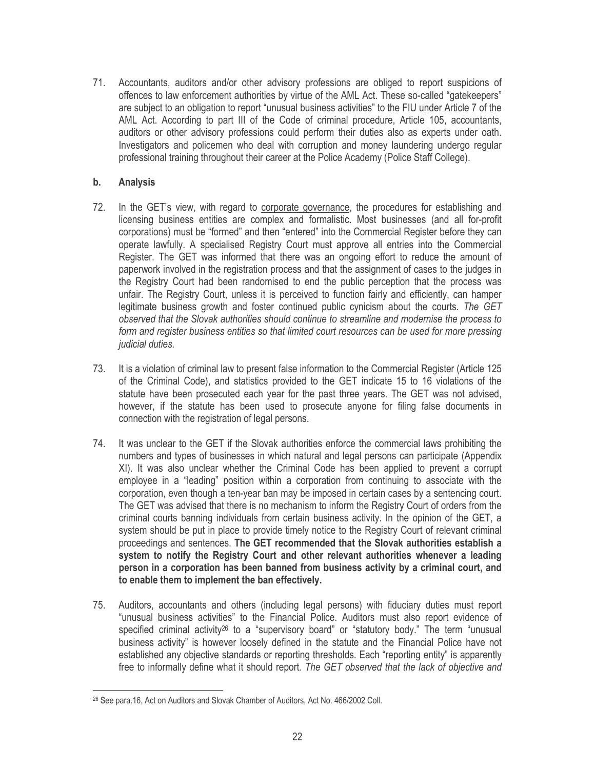71. Accountants, auditors and/or other advisory professions are obliged to report suspicions of offences to law enforcement authorities by virtue of the AML Act. These so-called "gatekeepers" are subject to an obligation to report "unusual business activities" to the FIU under Article 7 of the AML Act. According to part III of the Code of criminal procedure, Article 105, accountants, auditors or other advisory professions could perform their duties also as experts under oath. Investigators and policemen who deal with corruption and money laundering undergo regular professional training throughout their career at the Police Academy (Police Staff College).

#### $\mathbf{b}$ . **Analysis**

- 72. In the GET's view, with regard to corporate governance, the procedures for establishing and licensing business entities are complex and formalistic. Most businesses (and all for-profit corporations) must be "formed" and then "entered" into the Commercial Register before they can operate lawfully. A specialised Registry Court must approve all entries into the Commercial Register. The GET was informed that there was an ongoing effort to reduce the amount of paperwork involved in the registration process and that the assignment of cases to the judges in the Registry Court had been randomised to end the public perception that the process was unfair. The Registry Court, unless it is perceived to function fairly and efficiently, can hamper legitimate business growth and foster continued public cynicism about the courts. The GET observed that the Slovak authorities should continue to streamline and modernise the process to form and register business entities so that limited court resources can be used for more pressing judicial duties.
- It is a violation of criminal law to present false information to the Commercial Register (Article 125 73. of the Criminal Code), and statistics provided to the GET indicate 15 to 16 violations of the statute have been prosecuted each year for the past three years. The GET was not advised, however, if the statute has been used to prosecute anyone for filing false documents in connection with the registration of legal persons.
- 74. It was unclear to the GET if the Slovak authorities enforce the commercial laws prohibiting the numbers and types of businesses in which natural and legal persons can participate (Appendix XI). It was also unclear whether the Criminal Code has been applied to prevent a corrupt employee in a "leading" position within a corporation from continuing to associate with the corporation, even though a ten-year ban may be imposed in certain cases by a sentencing court. The GET was advised that there is no mechanism to inform the Registry Court of orders from the criminal courts banning individuals from certain business activity. In the opinion of the GET, a system should be put in place to provide timely notice to the Registry Court of relevant criminal proceedings and sentences. The GET recommended that the Slovak authorities establish a system to notify the Registry Court and other relevant authorities whenever a leading person in a corporation has been banned from business activity by a criminal court, and to enable them to implement the ban effectively.
- Auditors, accountants and others (including legal persons) with fiduciary duties must report 75. "unusual business activities" to the Financial Police. Auditors must also report evidence of specified criminal activity<sup>26</sup> to a "supervisory board" or "statutory body." The term "unusual business activity" is however loosely defined in the statute and the Financial Police have not established any objective standards or reporting thresholds. Each "reporting entity" is apparently free to informally define what it should report. The GET observed that the lack of objective and

<sup>&</sup>lt;sup>26</sup> See para.16, Act on Auditors and Slovak Chamber of Auditors, Act No. 466/2002 Coll.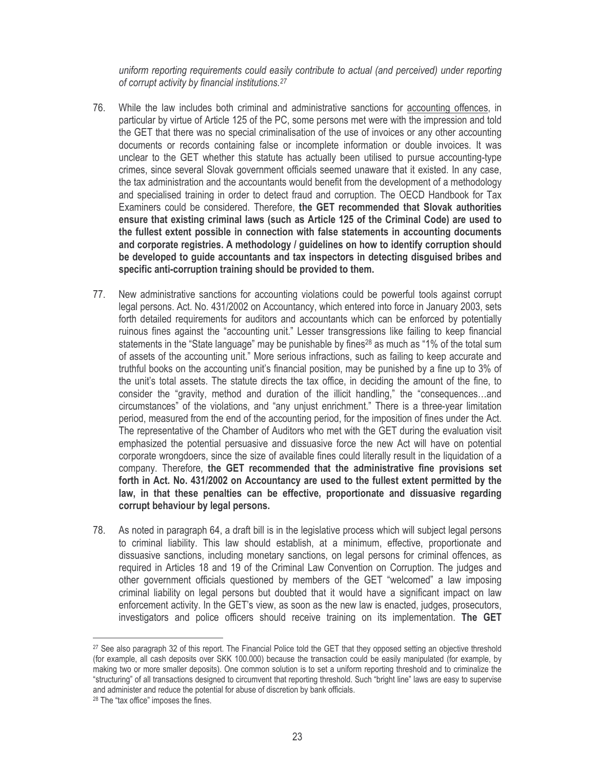uniform reporting requirements could easily contribute to actual (and perceived) under reporting of corrupt activity by financial institutions.<sup>27</sup>

- 76. While the law includes both criminal and administrative sanctions for accounting offences, in particular by virtue of Article 125 of the PC, some persons met were with the impression and told the GET that there was no special criminalisation of the use of invoices or any other accounting documents or records containing false or incomplete information or double invoices. It was unclear to the GET whether this statute has actually been utilised to pursue accounting-type crimes, since several Slovak government officials seemed unaware that it existed. In any case, the tax administration and the accountants would benefit from the development of a methodology and specialised training in order to detect fraud and corruption. The OECD Handbook for Tax Examiners could be considered. Therefore, the GET recommended that Slovak authorities ensure that existing criminal laws (such as Article 125 of the Criminal Code) are used to the fullest extent possible in connection with false statements in accounting documents and corporate registries. A methodology / guidelines on how to identify corruption should be developed to guide accountants and tax inspectors in detecting disguised bribes and specific anti-corruption training should be provided to them.
- New administrative sanctions for accounting violations could be powerful tools against corrupt 77. legal persons. Act. No. 431/2002 on Accountancy, which entered into force in January 2003, sets forth detailed requirements for auditors and accountants which can be enforced by potentially ruinous fines against the "accounting unit." Lesser transgressions like failing to keep financial statements in the "State language" may be punishable by fines<sup>28</sup> as much as "1% of the total sum of assets of the accounting unit." More serious infractions, such as failing to keep accurate and truthful books on the accounting unit's financial position, may be punished by a fine up to 3% of the unit's total assets. The statute directs the tax office, in deciding the amount of the fine, to consider the "gravity, method and duration of the illicit handling," the "consequences...and circumstances" of the violations, and "any unjust enrichment." There is a three-year limitation period, measured from the end of the accounting period, for the imposition of fines under the Act. The representative of the Chamber of Auditors who met with the GET during the evaluation visit emphasized the potential persuasive and dissuasive force the new Act will have on potential corporate wrongdoers, since the size of available fines could literally result in the liquidation of a company. Therefore, the GET recommended that the administrative fine provisions set forth in Act. No. 431/2002 on Accountancy are used to the fullest extent permitted by the law, in that these penalties can be effective, proportionate and dissuasive regarding corrupt behaviour by legal persons.
- 78. As noted in paragraph 64, a draft bill is in the legislative process which will subject legal persons to criminal liability. This law should establish, at a minimum, effective, proportionate and dissuasive sanctions, including monetary sanctions, on legal persons for criminal offences, as required in Articles 18 and 19 of the Criminal Law Convention on Corruption. The judges and other government officials questioned by members of the GET "welcomed" a law imposing criminal liability on legal persons but doubted that it would have a significant impact on law enforcement activity. In the GET's view, as soon as the new law is enacted, judges, prosecutors, investigators and police officers should receive training on its implementation. The GET

<sup>&</sup>lt;sup>27</sup> See also paragraph 32 of this report. The Financial Police told the GET that they opposed setting an objective threshold (for example, all cash deposits over SKK 100,000) because the transaction could be easily manipulated (for example, by making two or more smaller deposits). One common solution is to set a uniform reporting threshold and to criminalize the "structuring" of all transactions designed to circumvent that reporting threshold. Such "bright line" laws are easy to supervise and administer and reduce the potential for abuse of discretion by bank officials.

<sup>&</sup>lt;sup>28</sup> The "tax office" imposes the fines.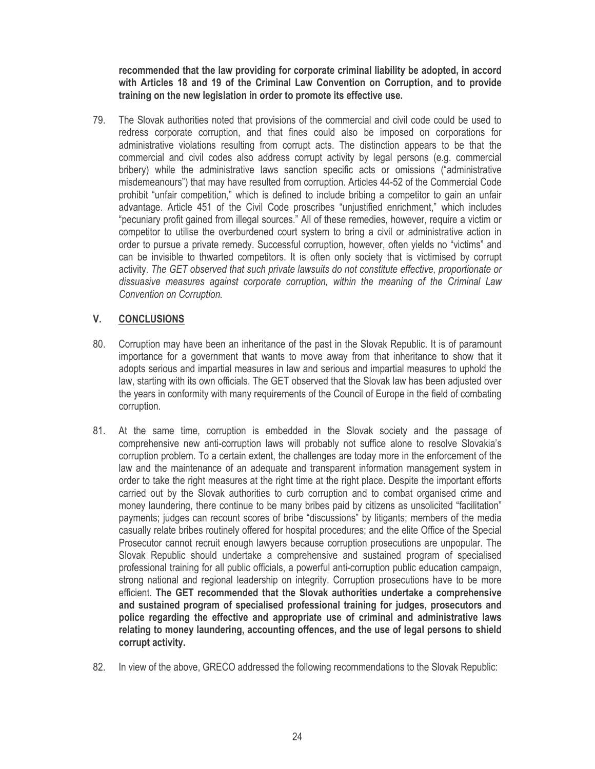recommended that the law providing for corporate criminal liability be adopted, in accord with Articles 18 and 19 of the Criminal Law Convention on Corruption, and to provide training on the new legislation in order to promote its effective use.

79. The Slovak authorities noted that provisions of the commercial and civil code could be used to redress corporate corruption, and that fines could also be imposed on corporations for administrative violations resulting from corrupt acts. The distinction appears to be that the commercial and civil codes also address corrupt activity by legal persons (e.g. commercial bribery) while the administrative laws sanction specific acts or omissions ("administrative misdemeanours") that may have resulted from corruption. Articles 44-52 of the Commercial Code prohibit "unfair competition," which is defined to include bribing a competitor to gain an unfair advantage. Article 451 of the Civil Code proscribes "unjustified enrichment," which includes "pecuniary profit gained from illegal sources." All of these remedies, however, require a victim or competitor to utilise the overburdened court system to bring a civil or administrative action in order to pursue a private remedy. Successful corruption, however, often yields no "victims" and can be invisible to thwarted competitors. It is often only society that is victimised by corrupt activity. The GET observed that such private lawsuits do not constitute effective, proportionate or dissuasive measures against corporate corruption, within the meaning of the Criminal Law Convention on Corruption.

#### V. **CONCLUSIONS**

- 80 Corruption may have been an inheritance of the past in the Slovak Republic. It is of paramount importance for a government that wants to move away from that inheritance to show that it adopts serious and impartial measures in law and serious and impartial measures to uphold the law, starting with its own officials. The GET observed that the Slovak law has been adjusted over the years in conformity with many requirements of the Council of Europe in the field of combating corruption.
- At the same time, corruption is embedded in the Slovak society and the passage of 81. comprehensive new anti-corruption laws will probably not suffice alone to resolve Slovakia's corruption problem. To a certain extent, the challenges are today more in the enforcement of the law and the maintenance of an adequate and transparent information management system in order to take the right measures at the right time at the right place. Despite the important efforts carried out by the Slovak authorities to curb corruption and to combat organised crime and money laundering, there continue to be many bribes paid by citizens as unsolicited "facilitation" payments; judges can recount scores of bribe "discussions" by litigants; members of the media casually relate bribes routinely offered for hospital procedures; and the elite Office of the Special Prosecutor cannot recruit enough lawyers because corruption prosecutions are unpopular. The Slovak Republic should undertake a comprehensive and sustained program of specialised professional training for all public officials, a powerful anti-corruption public education campaign, strong national and regional leadership on integrity. Corruption prosecutions have to be more efficient. The GET recommended that the Slovak authorities undertake a comprehensive and sustained program of specialised professional training for judges, prosecutors and police regarding the effective and appropriate use of criminal and administrative laws relating to money laundering, accounting offences, and the use of legal persons to shield corrupt activity.
- 82. In view of the above, GRECO addressed the following recommendations to the Slovak Republic: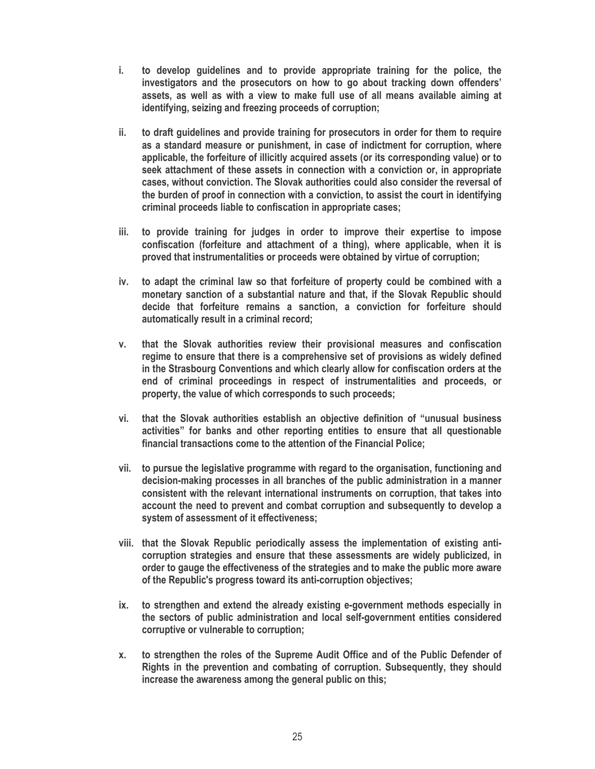- i. to develop guidelines and to provide appropriate training for the police, the investigators and the prosecutors on how to go about tracking down offenders' assets, as well as with a view to make full use of all means available aiming at identifying, seizing and freezing proceeds of corruption:
- to draft guidelines and provide training for prosecutors in order for them to require ii. as a standard measure or punishment, in case of indictment for corruption, where applicable, the forfeiture of illicitly acquired assets (or its corresponding value) or to seek attachment of these assets in connection with a conviction or, in appropriate cases, without conviction. The Slovak authorities could also consider the reversal of the burden of proof in connection with a conviction, to assist the court in identifving criminal proceeds liable to confiscation in appropriate cases;
- iii. to provide training for judges in order to improve their expertise to impose confiscation (forfeiture and attachment of a thing), where applicable, when it is proved that instrumentalities or proceeds were obtained by virtue of corruption;
- to adapt the criminal law so that forfeiture of property could be combined with a iv. monetary sanction of a substantial nature and that, if the Slovak Republic should decide that forfeiture remains a sanction, a conviction for forfeiture should automatically result in a criminal record;
- that the Slovak authorities review their provisional measures and confiscation  $V_{\rm{L}}$ regime to ensure that there is a comprehensive set of provisions as widely defined in the Strasbourg Conventions and which clearly allow for confiscation orders at the end of criminal proceedings in respect of instrumentalities and proceeds, or property, the value of which corresponds to such proceeds;
- vi. that the Slovak authorities establish an objective definition of "unusual business" activities" for banks and other reporting entities to ensure that all questionable financial transactions come to the attention of the Financial Police:
- vii. to pursue the legislative programme with regard to the organisation, functioning and decision-making processes in all branches of the public administration in a manner consistent with the relevant international instruments on corruption, that takes into account the need to prevent and combat corruption and subsequently to develop a system of assessment of it effectiveness;
- viii. that the Slovak Republic periodically assess the implementation of existing anticorruption strategies and ensure that these assessments are widely publicized, in order to gauge the effectiveness of the strategies and to make the public more aware of the Republic's progress toward its anti-corruption objectives;
- to strengthen and extend the already existing e-government methods especially in ix. the sectors of public administration and local self-government entities considered corruptive or vulnerable to corruption;
- to strengthen the roles of the Supreme Audit Office and of the Public Defender of **X.** Rights in the prevention and combating of corruption. Subsequently, they should increase the awareness among the general public on this: